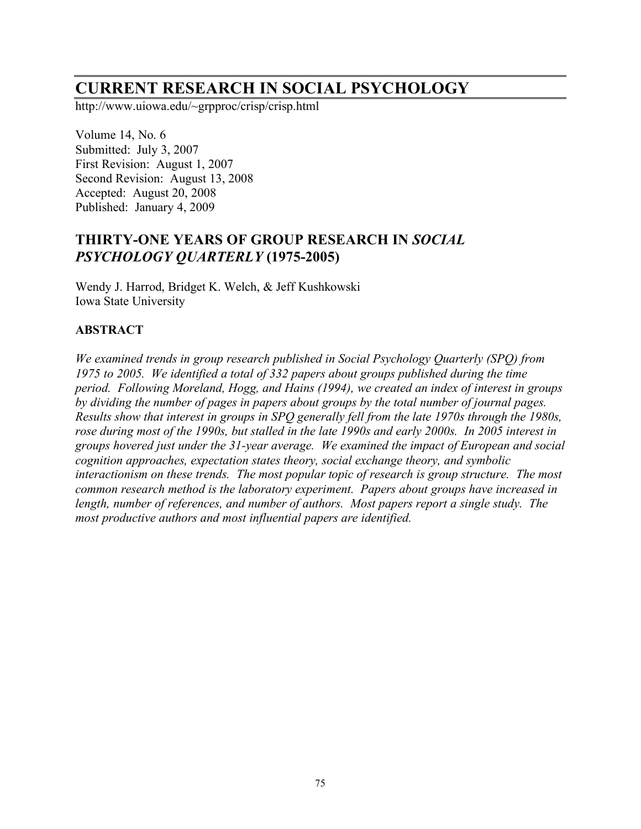# **CURRENT RESEARCH IN SOCIAL PSYCHOLOGY**

http://www.uiowa.edu/~grpproc/crisp/crisp.html

Volume 14, No. 6 Submitted: July 3, 2007 First Revision: August 1, 2007 Second Revision: August 13, 2008 Accepted: August 20, 2008 Published: January 4, 2009

## **THIRTY-ONE YEARS OF GROUP RESEARCH IN** *SOCIAL PSYCHOLOGY QUARTERLY* **(1975-2005)**

Wendy J. Harrod, Bridget K. Welch, & Jeff Kushkowski Iowa State University

## **ABSTRACT**

*We examined trends in group research published in Social Psychology Quarterly (SPQ) from 1975 to 2005. We identified a total of 332 papers about groups published during the time period. Following Moreland, Hogg, and Hains (1994), we created an index of interest in groups by dividing the number of pages in papers about groups by the total number of journal pages. Results show that interest in groups in SPQ generally fell from the late 1970s through the 1980s, rose during most of the 1990s, but stalled in the late 1990s and early 2000s. In 2005 interest in groups hovered just under the 31-year average. We examined the impact of European and social cognition approaches, expectation states theory, social exchange theory, and symbolic interactionism on these trends. The most popular topic of research is group structure. The most common research method is the laboratory experiment. Papers about groups have increased in length, number of references, and number of authors. Most papers report a single study. The most productive authors and most influential papers are identified.*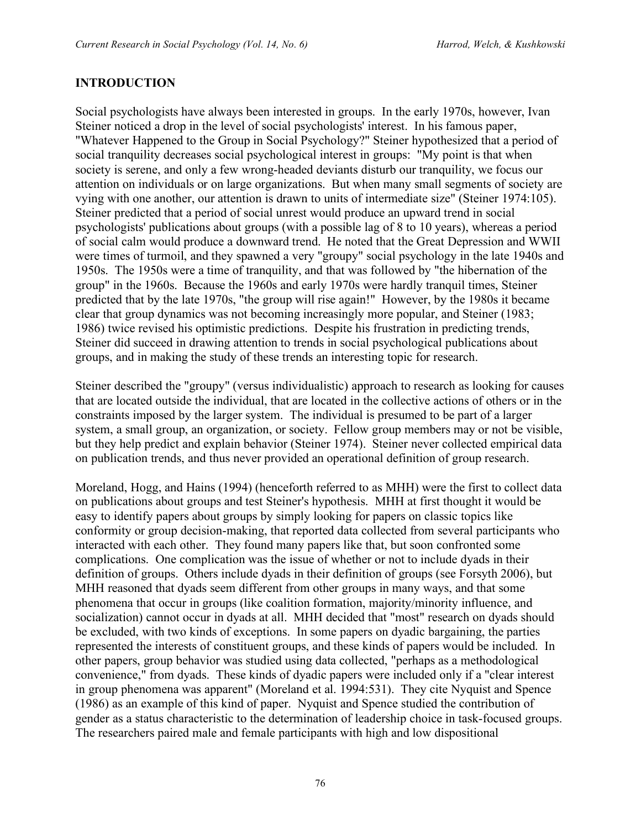## **INTRODUCTION**

Social psychologists have always been interested in groups. In the early 1970s, however, Ivan Steiner noticed a drop in the level of social psychologists' interest. In his famous paper, "Whatever Happened to the Group in Social Psychology?" Steiner hypothesized that a period of social tranquility decreases social psychological interest in groups: "My point is that when society is serene, and only a few wrong-headed deviants disturb our tranquility, we focus our attention on individuals or on large organizations. But when many small segments of society are vying with one another, our attention is drawn to units of intermediate size" (Steiner 1974:105). Steiner predicted that a period of social unrest would produce an upward trend in social psychologists' publications about groups (with a possible lag of 8 to 10 years), whereas a period of social calm would produce a downward trend. He noted that the Great Depression and WWII were times of turmoil, and they spawned a very "groupy" social psychology in the late 1940s and 1950s. The 1950s were a time of tranquility, and that was followed by "the hibernation of the group" in the 1960s. Because the 1960s and early 1970s were hardly tranquil times, Steiner predicted that by the late 1970s, "the group will rise again!" However, by the 1980s it became clear that group dynamics was not becoming increasingly more popular, and Steiner (1983; 1986) twice revised his optimistic predictions. Despite his frustration in predicting trends, Steiner did succeed in drawing attention to trends in social psychological publications about groups, and in making the study of these trends an interesting topic for research.

Steiner described the "groupy" (versus individualistic) approach to research as looking for causes that are located outside the individual, that are located in the collective actions of others or in the constraints imposed by the larger system. The individual is presumed to be part of a larger system, a small group, an organization, or society. Fellow group members may or not be visible, but they help predict and explain behavior (Steiner 1974). Steiner never collected empirical data on publication trends, and thus never provided an operational definition of group research.

Moreland, Hogg, and Hains (1994) (henceforth referred to as MHH) were the first to collect data on publications about groups and test Steiner's hypothesis. MHH at first thought it would be easy to identify papers about groups by simply looking for papers on classic topics like conformity or group decision-making, that reported data collected from several participants who interacted with each other. They found many papers like that, but soon confronted some complications. One complication was the issue of whether or not to include dyads in their definition of groups. Others include dyads in their definition of groups (see Forsyth 2006), but MHH reasoned that dyads seem different from other groups in many ways, and that some phenomena that occur in groups (like coalition formation, majority/minority influence, and socialization) cannot occur in dyads at all. MHH decided that "most" research on dyads should be excluded, with two kinds of exceptions. In some papers on dyadic bargaining, the parties represented the interests of constituent groups, and these kinds of papers would be included. In other papers, group behavior was studied using data collected, "perhaps as a methodological convenience," from dyads. These kinds of dyadic papers were included only if a "clear interest in group phenomena was apparent" (Moreland et al. 1994:531). They cite Nyquist and Spence (1986) as an example of this kind of paper. Nyquist and Spence studied the contribution of gender as a status characteristic to the determination of leadership choice in task-focused groups. The researchers paired male and female participants with high and low dispositional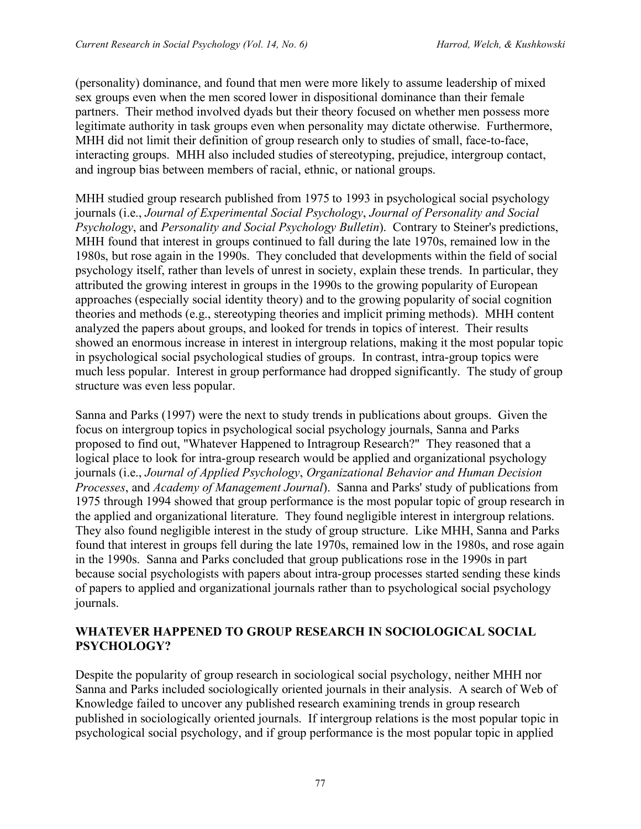(personality) dominance, and found that men were more likely to assume leadership of mixed sex groups even when the men scored lower in dispositional dominance than their female partners. Their method involved dyads but their theory focused on whether men possess more legitimate authority in task groups even when personality may dictate otherwise. Furthermore, MHH did not limit their definition of group research only to studies of small, face-to-face, interacting groups. MHH also included studies of stereotyping, prejudice, intergroup contact, and ingroup bias between members of racial, ethnic, or national groups.

MHH studied group research published from 1975 to 1993 in psychological social psychology journals (i.e., *Journal of Experimental Social Psychology*, *Journal of Personality and Social Psychology*, and *Personality and Social Psychology Bulletin*). Contrary to Steiner's predictions, MHH found that interest in groups continued to fall during the late 1970s, remained low in the 1980s, but rose again in the 1990s. They concluded that developments within the field of social psychology itself, rather than levels of unrest in society, explain these trends. In particular, they attributed the growing interest in groups in the 1990s to the growing popularity of European approaches (especially social identity theory) and to the growing popularity of social cognition theories and methods (e.g., stereotyping theories and implicit priming methods). MHH content analyzed the papers about groups, and looked for trends in topics of interest. Their results showed an enormous increase in interest in intergroup relations, making it the most popular topic in psychological social psychological studies of groups. In contrast, intra-group topics were much less popular. Interest in group performance had dropped significantly. The study of group structure was even less popular.

Sanna and Parks (1997) were the next to study trends in publications about groups. Given the focus on intergroup topics in psychological social psychology journals, Sanna and Parks proposed to find out, "Whatever Happened to Intragroup Research?" They reasoned that a logical place to look for intra-group research would be applied and organizational psychology journals (i.e., *Journal of Applied Psychology*, *Organizational Behavior and Human Decision Processes*, and *Academy of Management Journal*). Sanna and Parks' study of publications from 1975 through 1994 showed that group performance is the most popular topic of group research in the applied and organizational literature. They found negligible interest in intergroup relations. They also found negligible interest in the study of group structure. Like MHH, Sanna and Parks found that interest in groups fell during the late 1970s, remained low in the 1980s, and rose again in the 1990s. Sanna and Parks concluded that group publications rose in the 1990s in part because social psychologists with papers about intra-group processes started sending these kinds of papers to applied and organizational journals rather than to psychological social psychology journals.

## **WHATEVER HAPPENED TO GROUP RESEARCH IN SOCIOLOGICAL SOCIAL PSYCHOLOGY?**

Despite the popularity of group research in sociological social psychology, neither MHH nor Sanna and Parks included sociologically oriented journals in their analysis. A search of Web of Knowledge failed to uncover any published research examining trends in group research published in sociologically oriented journals. If intergroup relations is the most popular topic in psychological social psychology, and if group performance is the most popular topic in applied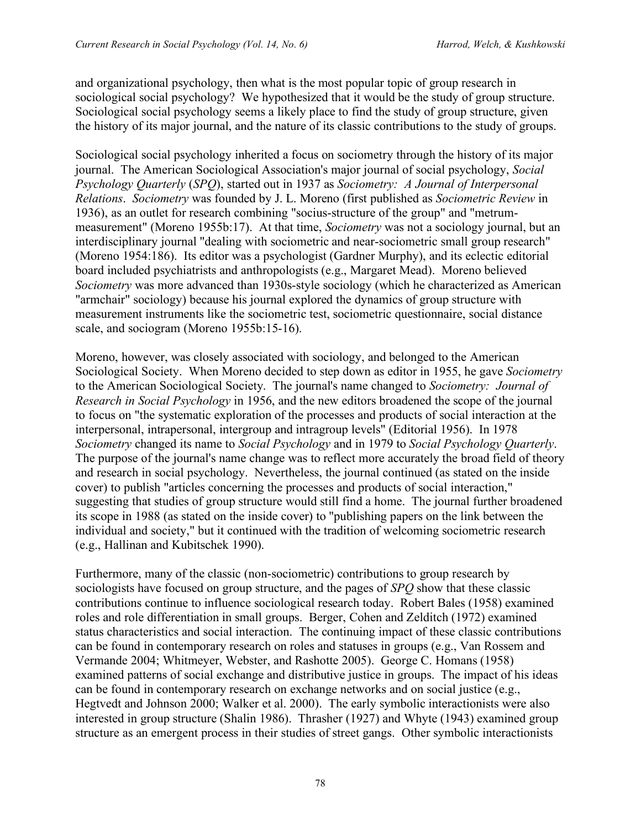and organizational psychology, then what is the most popular topic of group research in sociological social psychology? We hypothesized that it would be the study of group structure. Sociological social psychology seems a likely place to find the study of group structure, given the history of its major journal, and the nature of its classic contributions to the study of groups.

Sociological social psychology inherited a focus on sociometry through the history of its major journal. The American Sociological Association's major journal of social psychology, *Social Psychology Quarterly* (*SPQ*), started out in 1937 as *Sociometry: A Journal of Interpersonal Relations*. *Sociometry* was founded by J. L. Moreno (first published as *Sociometric Review* in 1936), as an outlet for research combining "socius-structure of the group" and "metrummeasurement" (Moreno 1955b:17). At that time, *Sociometry* was not a sociology journal, but an interdisciplinary journal "dealing with sociometric and near-sociometric small group research" (Moreno 1954:186). Its editor was a psychologist (Gardner Murphy), and its eclectic editorial board included psychiatrists and anthropologists (e.g., Margaret Mead). Moreno believed *Sociometry* was more advanced than 1930s-style sociology (which he characterized as American "armchair" sociology) because his journal explored the dynamics of group structure with measurement instruments like the sociometric test, sociometric questionnaire, social distance scale, and sociogram (Moreno 1955b:15-16).

Moreno, however, was closely associated with sociology, and belonged to the American Sociological Society. When Moreno decided to step down as editor in 1955, he gave *Sociometry* to the American Sociological Society. The journal's name changed to *Sociometry: Journal of Research in Social Psychology* in 1956, and the new editors broadened the scope of the journal to focus on "the systematic exploration of the processes and products of social interaction at the interpersonal, intrapersonal, intergroup and intragroup levels" (Editorial 1956). In 1978 *Sociometry* changed its name to *Social Psychology* and in 1979 to *Social Psychology Quarterly*. The purpose of the journal's name change was to reflect more accurately the broad field of theory and research in social psychology. Nevertheless, the journal continued (as stated on the inside cover) to publish "articles concerning the processes and products of social interaction," suggesting that studies of group structure would still find a home. The journal further broadened its scope in 1988 (as stated on the inside cover) to "publishing papers on the link between the individual and society," but it continued with the tradition of welcoming sociometric research (e.g., Hallinan and Kubitschek 1990).

Furthermore, many of the classic (non-sociometric) contributions to group research by sociologists have focused on group structure, and the pages of *SPQ* show that these classic contributions continue to influence sociological research today. Robert Bales (1958) examined roles and role differentiation in small groups. Berger, Cohen and Zelditch (1972) examined status characteristics and social interaction. The continuing impact of these classic contributions can be found in contemporary research on roles and statuses in groups (e.g., Van Rossem and Vermande 2004; Whitmeyer, Webster, and Rashotte 2005). George C. Homans (1958) examined patterns of social exchange and distributive justice in groups. The impact of his ideas can be found in contemporary research on exchange networks and on social justice (e.g., Hegtvedt and Johnson 2000; Walker et al. 2000). The early symbolic interactionists were also interested in group structure (Shalin 1986). Thrasher (1927) and Whyte (1943) examined group structure as an emergent process in their studies of street gangs. Other symbolic interactionists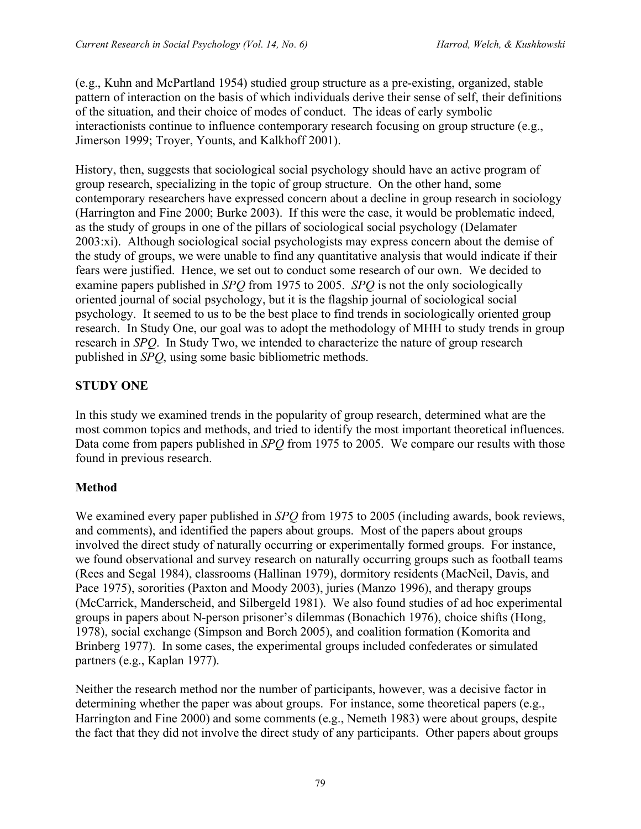(e.g., Kuhn and McPartland 1954) studied group structure as a pre-existing, organized, stable pattern of interaction on the basis of which individuals derive their sense of self, their definitions of the situation, and their choice of modes of conduct. The ideas of early symbolic interactionists continue to influence contemporary research focusing on group structure (e.g., Jimerson 1999; Troyer, Younts, and Kalkhoff 2001).

History, then, suggests that sociological social psychology should have an active program of group research, specializing in the topic of group structure. On the other hand, some contemporary researchers have expressed concern about a decline in group research in sociology (Harrington and Fine 2000; Burke 2003). If this were the case, it would be problematic indeed, as the study of groups in one of the pillars of sociological social psychology (Delamater 2003:xi). Although sociological social psychologists may express concern about the demise of the study of groups, we were unable to find any quantitative analysis that would indicate if their fears were justified. Hence, we set out to conduct some research of our own. We decided to examine papers published in *SPQ* from 1975 to 2005. *SPQ* is not the only sociologically oriented journal of social psychology, but it is the flagship journal of sociological social psychology. It seemed to us to be the best place to find trends in sociologically oriented group research. In Study One, our goal was to adopt the methodology of MHH to study trends in group research in *SPQ*. In Study Two, we intended to characterize the nature of group research published in *SPQ*, using some basic bibliometric methods.

## **STUDY ONE**

In this study we examined trends in the popularity of group research, determined what are the most common topics and methods, and tried to identify the most important theoretical influences. Data come from papers published in *SPQ* from 1975 to 2005. We compare our results with those found in previous research.

## **Method**

We examined every paper published in *SPQ* from 1975 to 2005 (including awards, book reviews, and comments), and identified the papers about groups. Most of the papers about groups involved the direct study of naturally occurring or experimentally formed groups. For instance, we found observational and survey research on naturally occurring groups such as football teams (Rees and Segal 1984), classrooms (Hallinan 1979), dormitory residents (MacNeil, Davis, and Pace 1975), sororities (Paxton and Moody 2003), juries (Manzo 1996), and therapy groups (McCarrick, Manderscheid, and Silbergeld 1981). We also found studies of ad hoc experimental groups in papers about N-person prisoner's dilemmas (Bonachich 1976), choice shifts (Hong, 1978), social exchange (Simpson and Borch 2005), and coalition formation (Komorita and Brinberg 1977). In some cases, the experimental groups included confederates or simulated partners (e.g., Kaplan 1977).

Neither the research method nor the number of participants, however, was a decisive factor in determining whether the paper was about groups. For instance, some theoretical papers (e.g., Harrington and Fine 2000) and some comments (e.g., Nemeth 1983) were about groups, despite the fact that they did not involve the direct study of any participants. Other papers about groups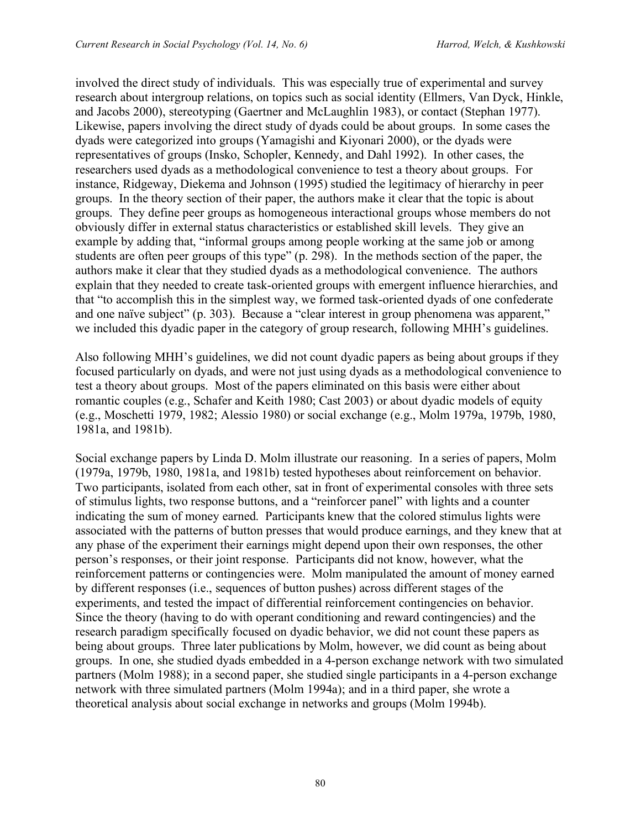involved the direct study of individuals. This was especially true of experimental and survey research about intergroup relations, on topics such as social identity (Ellmers, Van Dyck, Hinkle, and Jacobs 2000), stereotyping (Gaertner and McLaughlin 1983), or contact (Stephan 1977). Likewise, papers involving the direct study of dyads could be about groups. In some cases the dyads were categorized into groups (Yamagishi and Kiyonari 2000), or the dyads were representatives of groups (Insko, Schopler, Kennedy, and Dahl 1992). In other cases, the researchers used dyads as a methodological convenience to test a theory about groups. For instance, Ridgeway, Diekema and Johnson (1995) studied the legitimacy of hierarchy in peer groups. In the theory section of their paper, the authors make it clear that the topic is about groups. They define peer groups as homogeneous interactional groups whose members do not obviously differ in external status characteristics or established skill levels. They give an example by adding that, "informal groups among people working at the same job or among students are often peer groups of this type" (p. 298). In the methods section of the paper, the authors make it clear that they studied dyads as a methodological convenience. The authors explain that they needed to create task-oriented groups with emergent influence hierarchies, and that "to accomplish this in the simplest way, we formed task-oriented dyads of one confederate and one naïve subject" (p. 303). Because a "clear interest in group phenomena was apparent," we included this dyadic paper in the category of group research, following MHH's guidelines.

Also following MHH's guidelines, we did not count dyadic papers as being about groups if they focused particularly on dyads, and were not just using dyads as a methodological convenience to test a theory about groups. Most of the papers eliminated on this basis were either about romantic couples (e.g., Schafer and Keith 1980; Cast 2003) or about dyadic models of equity (e.g., Moschetti 1979, 1982; Alessio 1980) or social exchange (e.g., Molm 1979a, 1979b, 1980, 1981a, and 1981b).

Social exchange papers by Linda D. Molm illustrate our reasoning. In a series of papers, Molm (1979a, 1979b, 1980, 1981a, and 1981b) tested hypotheses about reinforcement on behavior. Two participants, isolated from each other, sat in front of experimental consoles with three sets of stimulus lights, two response buttons, and a "reinforcer panel" with lights and a counter indicating the sum of money earned. Participants knew that the colored stimulus lights were associated with the patterns of button presses that would produce earnings, and they knew that at any phase of the experiment their earnings might depend upon their own responses, the other person's responses, or their joint response. Participants did not know, however, what the reinforcement patterns or contingencies were. Molm manipulated the amount of money earned by different responses (i.e., sequences of button pushes) across different stages of the experiments, and tested the impact of differential reinforcement contingencies on behavior. Since the theory (having to do with operant conditioning and reward contingencies) and the research paradigm specifically focused on dyadic behavior, we did not count these papers as being about groups. Three later publications by Molm, however, we did count as being about groups. In one, she studied dyads embedded in a 4-person exchange network with two simulated partners (Molm 1988); in a second paper, she studied single participants in a 4-person exchange network with three simulated partners (Molm 1994a); and in a third paper, she wrote a theoretical analysis about social exchange in networks and groups (Molm 1994b).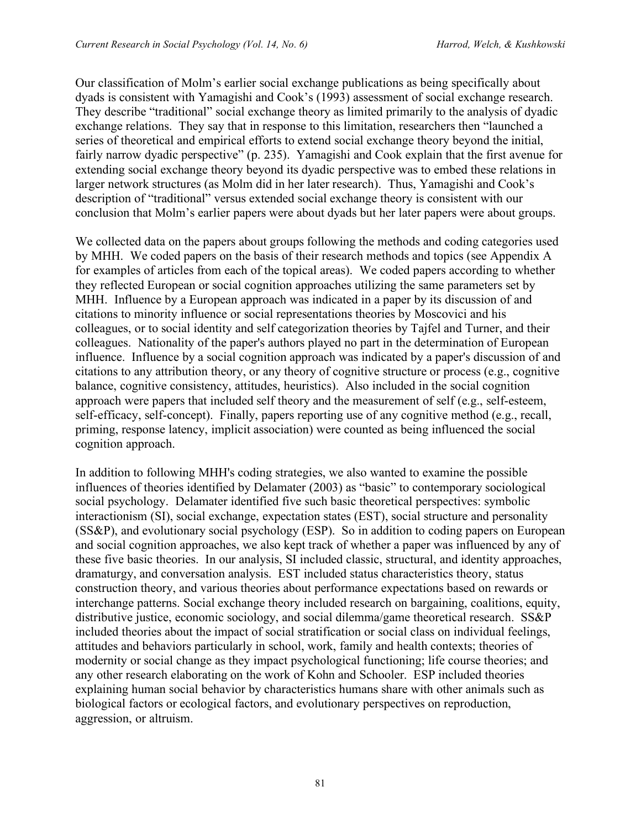Our classification of Molm's earlier social exchange publications as being specifically about dyads is consistent with Yamagishi and Cook's (1993) assessment of social exchange research. They describe "traditional" social exchange theory as limited primarily to the analysis of dyadic exchange relations. They say that in response to this limitation, researchers then "launched a series of theoretical and empirical efforts to extend social exchange theory beyond the initial, fairly narrow dyadic perspective" (p. 235). Yamagishi and Cook explain that the first avenue for extending social exchange theory beyond its dyadic perspective was to embed these relations in larger network structures (as Molm did in her later research). Thus, Yamagishi and Cook's description of "traditional" versus extended social exchange theory is consistent with our conclusion that Molm's earlier papers were about dyads but her later papers were about groups.

We collected data on the papers about groups following the methods and coding categories used by MHH. We coded papers on the basis of their research methods and topics (see Appendix A for examples of articles from each of the topical areas). We coded papers according to whether they reflected European or social cognition approaches utilizing the same parameters set by MHH. Influence by a European approach was indicated in a paper by its discussion of and citations to minority influence or social representations theories by Moscovici and his colleagues, or to social identity and self categorization theories by Tajfel and Turner, and their colleagues. Nationality of the paper's authors played no part in the determination of European influence. Influence by a social cognition approach was indicated by a paper's discussion of and citations to any attribution theory, or any theory of cognitive structure or process (e.g., cognitive balance, cognitive consistency, attitudes, heuristics). Also included in the social cognition approach were papers that included self theory and the measurement of self (e.g., self-esteem, self-efficacy, self-concept). Finally, papers reporting use of any cognitive method (e.g., recall, priming, response latency, implicit association) were counted as being influenced the social cognition approach.

In addition to following MHH's coding strategies, we also wanted to examine the possible influences of theories identified by Delamater (2003) as "basic" to contemporary sociological social psychology. Delamater identified five such basic theoretical perspectives: symbolic interactionism (SI), social exchange, expectation states (EST), social structure and personality (SS&P), and evolutionary social psychology (ESP). So in addition to coding papers on European and social cognition approaches, we also kept track of whether a paper was influenced by any of these five basic theories. In our analysis, SI included classic, structural, and identity approaches, dramaturgy, and conversation analysis. EST included status characteristics theory, status construction theory, and various theories about performance expectations based on rewards or interchange patterns. Social exchange theory included research on bargaining, coalitions, equity, distributive justice, economic sociology, and social dilemma/game theoretical research. SS&P included theories about the impact of social stratification or social class on individual feelings, attitudes and behaviors particularly in school, work, family and health contexts; theories of modernity or social change as they impact psychological functioning; life course theories; and any other research elaborating on the work of Kohn and Schooler. ESP included theories explaining human social behavior by characteristics humans share with other animals such as biological factors or ecological factors, and evolutionary perspectives on reproduction, aggression, or altruism.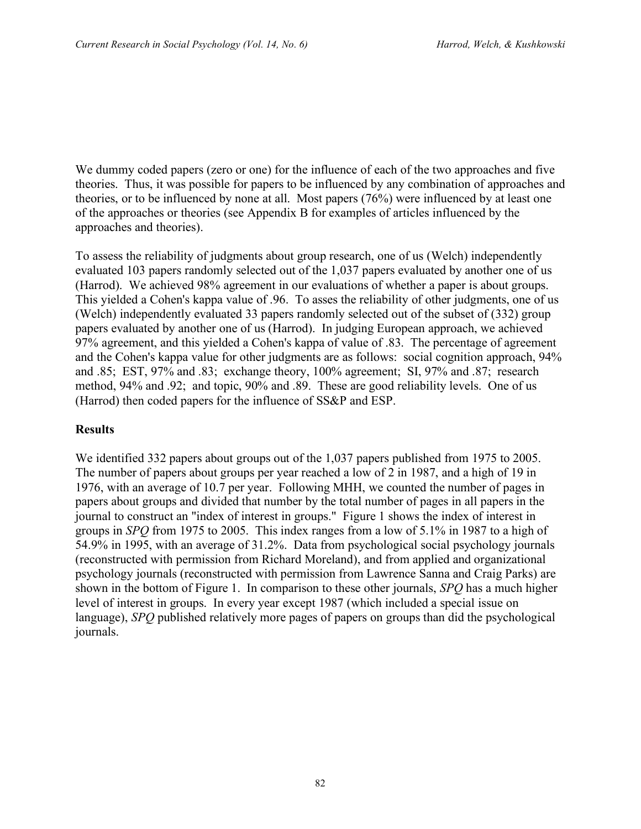We dummy coded papers (zero or one) for the influence of each of the two approaches and five theories. Thus, it was possible for papers to be influenced by any combination of approaches and theories, or to be influenced by none at all. Most papers (76%) were influenced by at least one of the approaches or theories (see Appendix B for examples of articles influenced by the approaches and theories).

To assess the reliability of judgments about group research, one of us (Welch) independently evaluated 103 papers randomly selected out of the 1,037 papers evaluated by another one of us (Harrod). We achieved 98% agreement in our evaluations of whether a paper is about groups. This yielded a Cohen's kappa value of .96. To asses the reliability of other judgments, one of us (Welch) independently evaluated 33 papers randomly selected out of the subset of (332) group papers evaluated by another one of us (Harrod). In judging European approach, we achieved 97% agreement, and this yielded a Cohen's kappa of value of .83. The percentage of agreement and the Cohen's kappa value for other judgments are as follows: social cognition approach, 94% and .85; EST, 97% and .83; exchange theory, 100% agreement; SI, 97% and .87; research method, 94% and .92; and topic, 90% and .89. These are good reliability levels. One of us (Harrod) then coded papers for the influence of SS&P and ESP.

## **Results**

We identified 332 papers about groups out of the 1,037 papers published from 1975 to 2005. The number of papers about groups per year reached a low of 2 in 1987, and a high of 19 in 1976, with an average of 10.7 per year. Following MHH, we counted the number of pages in papers about groups and divided that number by the total number of pages in all papers in the journal to construct an "index of interest in groups." Figure 1 shows the index of interest in groups in *SPQ* from 1975 to 2005. This index ranges from a low of 5.1% in 1987 to a high of 54.9% in 1995, with an average of 31.2%. Data from psychological social psychology journals (reconstructed with permission from Richard Moreland), and from applied and organizational psychology journals (reconstructed with permission from Lawrence Sanna and Craig Parks) are shown in the bottom of Figure 1. In comparison to these other journals, *SPQ* has a much higher level of interest in groups. In every year except 1987 (which included a special issue on language), *SPQ* published relatively more pages of papers on groups than did the psychological journals.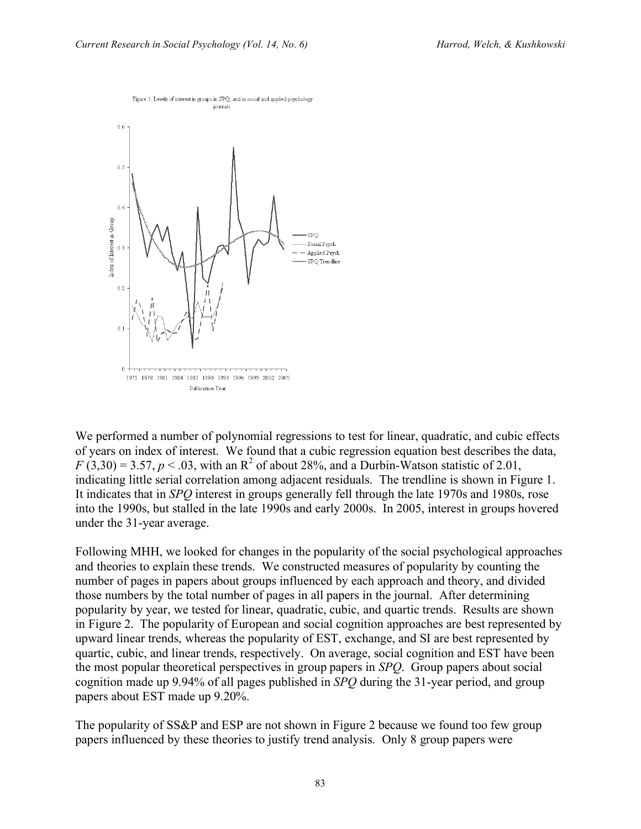

We performed a number of polynomial regressions to test for linear, quadratic, and cubic effects of years on index of interest. We found that a cubic regression equation best describes the data,  $F(3,30) = 3.57$ ,  $p < .03$ , with an R<sup>2</sup> of about 28%, and a Durbin-Watson statistic of 2.01, indicating little serial correlation among adjacent residuals. The trendline is shown in Figure 1. It indicates that in *SPQ* interest in groups generally fell through the late 1970s and 1980s, rose into the 1990s, but stalled in the late 1990s and early 2000s. In 2005, interest in groups hovered under the 31-year average.

Following MHH, we looked for changes in the popularity of the social psychological approaches and theories to explain these trends. We constructed measures of popularity by counting the number of pages in papers about groups influenced by each approach and theory, and divided those numbers by the total number of pages in all papers in the journal. After determining popularity by year, we tested for linear, quadratic, cubic, and quartic trends. Results are shown in Figure 2. The popularity of European and social cognition approaches are best represented by upward linear trends, whereas the popularity of EST, exchange, and SI are best represented by quartic, cubic, and linear trends, respectively. On average, social cognition and EST have been the most popular theoretical perspectives in group papers in *SPQ*. Group papers about social cognition made up 9.94% of all pages published in *SPQ* during the 31-year period, and group papers about EST made up 9.20%.

The popularity of SS&P and ESP are not shown in Figure 2 because we found too few group papers influenced by these theories to justify trend analysis. Only 8 group papers were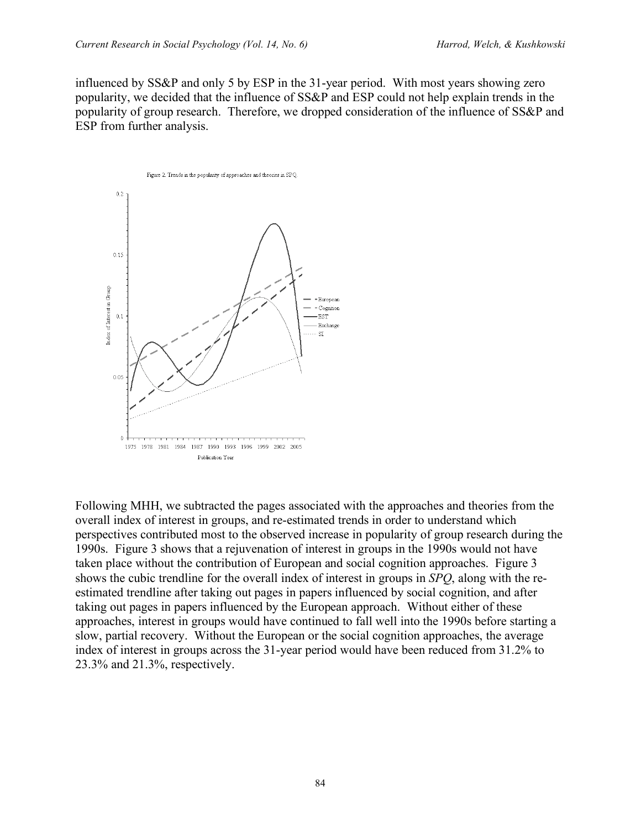influenced by SS&P and only 5 by ESP in the 31-year period. With most years showing zero popularity, we decided that the influence of SS&P and ESP could not help explain trends in the popularity of group research. Therefore, we dropped consideration of the influence of SS&P and ESP from further analysis.



Following MHH, we subtracted the pages associated with the approaches and theories from the overall index of interest in groups, and re-estimated trends in order to understand which perspectives contributed most to the observed increase in popularity of group research during the 1990s. Figure 3 shows that a rejuvenation of interest in groups in the 1990s would not have taken place without the contribution of European and social cognition approaches. Figure 3 shows the cubic trendline for the overall index of interest in groups in *SPQ*, along with the reestimated trendline after taking out pages in papers influenced by social cognition, and after taking out pages in papers influenced by the European approach. Without either of these approaches, interest in groups would have continued to fall well into the 1990s before starting a slow, partial recovery. Without the European or the social cognition approaches, the average index of interest in groups across the 31-year period would have been reduced from 31.2% to 23.3% and 21.3%, respectively.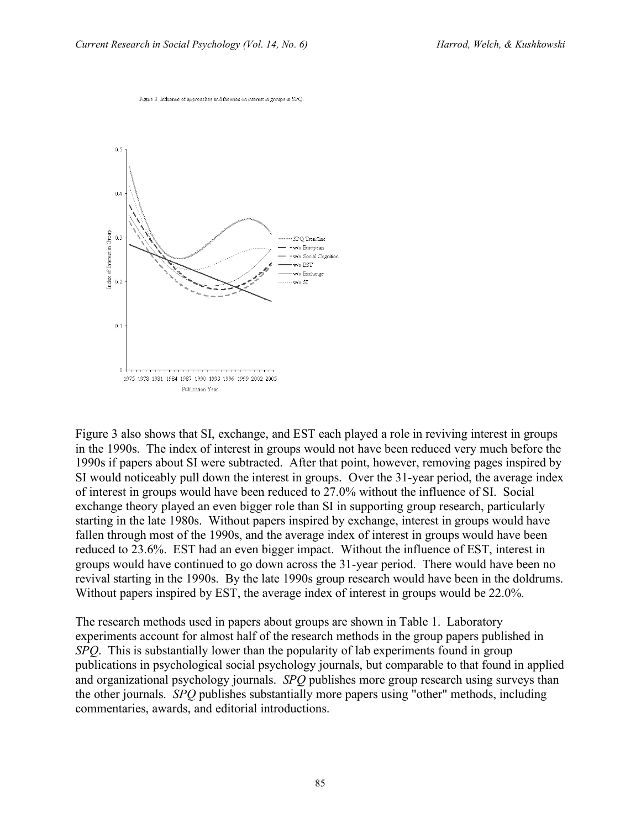

Figure 3. Influence of approaches and theories on interest in groups in SPO.

Figure 3 also shows that SI, exchange, and EST each played a role in reviving interest in groups in the 1990s. The index of interest in groups would not have been reduced very much before the 1990s if papers about SI were subtracted. After that point, however, removing pages inspired by SI would noticeably pull down the interest in groups. Over the 31-year period, the average index of interest in groups would have been reduced to 27.0% without the influence of SI. Social exchange theory played an even bigger role than SI in supporting group research, particularly starting in the late 1980s. Without papers inspired by exchange, interest in groups would have fallen through most of the 1990s, and the average index of interest in groups would have been reduced to 23.6%. EST had an even bigger impact. Without the influence of EST, interest in groups would have continued to go down across the 31-year period. There would have been no revival starting in the 1990s. By the late 1990s group research would have been in the doldrums. Without papers inspired by EST, the average index of interest in groups would be 22.0%.

The research methods used in papers about groups are shown in Table 1. Laboratory experiments account for almost half of the research methods in the group papers published in *SPQ*. This is substantially lower than the popularity of lab experiments found in group publications in psychological social psychology journals, but comparable to that found in applied and organizational psychology journals. *SPQ* publishes more group research using surveys than the other journals. *SPQ* publishes substantially more papers using "other" methods, including commentaries, awards, and editorial introductions.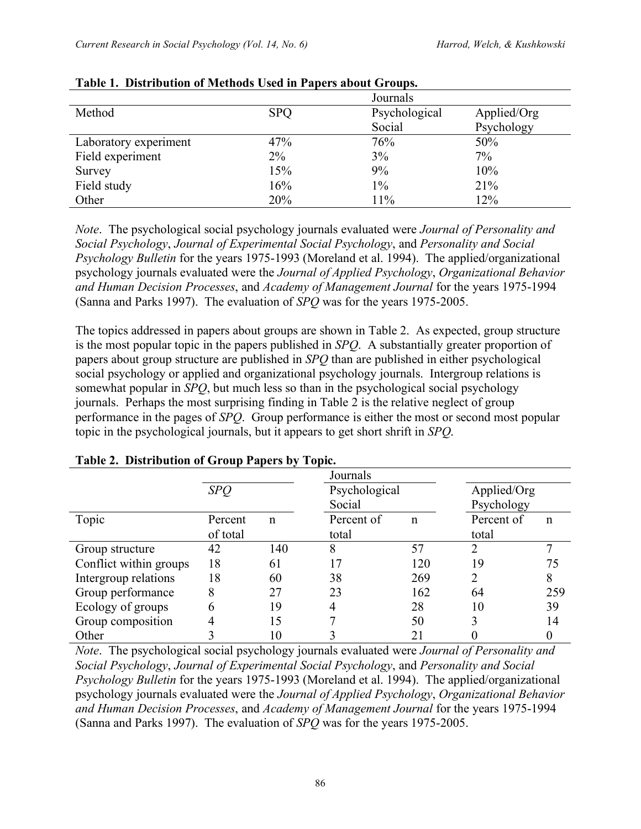| Method                | <b>SPQ</b> | Psychological | Applied/Org |
|-----------------------|------------|---------------|-------------|
|                       |            | Social        | Psychology  |
| Laboratory experiment | 47%        | 76%           | 50%         |
| Field experiment      | $2\%$      | 3%            | 7%          |
| Survey                | 15%        | 9%            | 10%         |
| Field study           | 16%        | $1\%$         | 21%         |
| Other                 | 20%        | 11%           | 12%         |

## **Table 1. Distribution of Methods Used in Papers about Groups.**

*Note*. The psychological social psychology journals evaluated were *Journal of Personality and Social Psychology*, *Journal of Experimental Social Psychology*, and *Personality and Social Psychology Bulletin* for the years 1975-1993 (Moreland et al. 1994). The applied/organizational psychology journals evaluated were the *Journal of Applied Psychology*, *Organizational Behavior and Human Decision Processes*, and *Academy of Management Journal* for the years 1975-1994 (Sanna and Parks 1997). The evaluation of *SPQ* was for the years 1975-2005.

The topics addressed in papers about groups are shown in Table 2. As expected, group structure is the most popular topic in the papers published in *SPQ*. A substantially greater proportion of papers about group structure are published in *SPQ* than are published in either psychological social psychology or applied and organizational psychology journals. Intergroup relations is somewhat popular in *SPQ*, but much less so than in the psychological social psychology journals. Perhaps the most surprising finding in Table 2 is the relative neglect of group performance in the pages of *SPQ*. Group performance is either the most or second most popular topic in the psychological journals, but it appears to get short shrift in *SPQ*.

|                        |            |             | Journals      |             |             |             |
|------------------------|------------|-------------|---------------|-------------|-------------|-------------|
|                        | <b>SPQ</b> |             | Psychological |             | Applied/Org |             |
|                        |            |             | Social        |             | Psychology  |             |
| Topic                  | Percent    | $\mathbf n$ | Percent of    | $\mathbf n$ | Percent of  | $\mathbf n$ |
|                        | of total   |             | total         |             | total       |             |
| Group structure        | 42         | 140         | 8             | 57          |             |             |
| Conflict within groups | 18         | 61          |               | 120         | 19          | 75          |
| Intergroup relations   | 18         | 60          | 38            | 269         | ∍           | 8           |
| Group performance      | 8          | 27          | 23            | 162         | 64          | 259         |
| Ecology of groups      | 6          | 19          |               | 28          | 10          | 39          |
| Group composition      |            | 15          |               | 50          |             | 14          |
| Other                  |            | 10          |               | 21          |             |             |

### **Table 2. Distribution of Group Papers by Topic.**

*Note*. The psychological social psychology journals evaluated were *Journal of Personality and Social Psychology*, *Journal of Experimental Social Psychology*, and *Personality and Social Psychology Bulletin* for the years 1975-1993 (Moreland et al. 1994). The applied/organizational psychology journals evaluated were the *Journal of Applied Psychology*, *Organizational Behavior and Human Decision Processes*, and *Academy of Management Journal* for the years 1975-1994 (Sanna and Parks 1997). The evaluation of *SPQ* was for the years 1975-2005.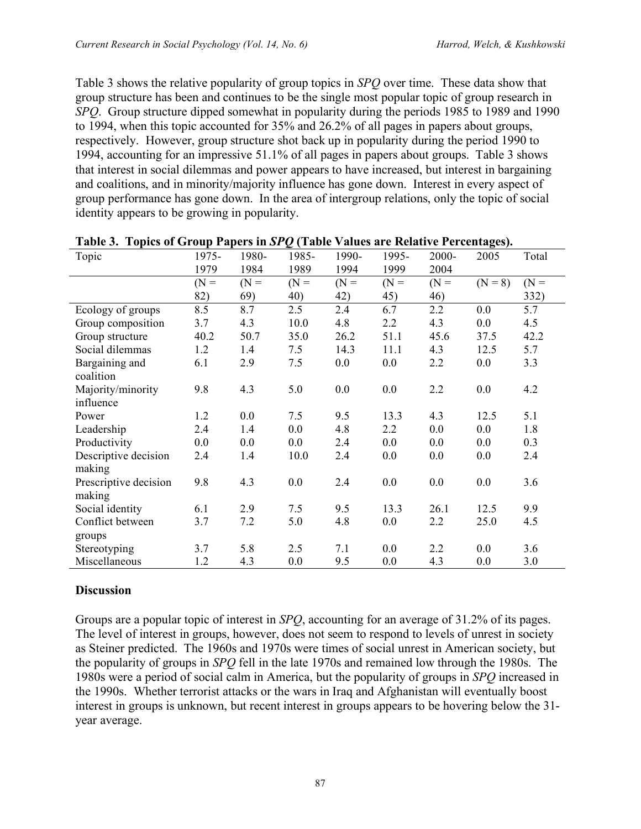Table 3 shows the relative popularity of group topics in *SPQ* over time. These data show that group structure has been and continues to be the single most popular topic of group research in *SPQ*. Group structure dipped somewhat in popularity during the periods 1985 to 1989 and 1990 to 1994, when this topic accounted for 35% and 26.2% of all pages in papers about groups, respectively. However, group structure shot back up in popularity during the period 1990 to 1994, accounting for an impressive 51.1% of all pages in papers about groups. Table 3 shows that interest in social dilemmas and power appears to have increased, but interest in bargaining and coalitions, and in minority/majority influence has gone down. Interest in every aspect of group performance has gone down. In the area of intergroup relations, only the topic of social identity appears to be growing in popularity.

| $\sim$ 1 optes of Group 1 apers in Sr $\chi$ (1 aste ) and 3 are reduced to centum to ). |        |        |        |        |        |        |           |        |
|------------------------------------------------------------------------------------------|--------|--------|--------|--------|--------|--------|-----------|--------|
| Topic                                                                                    | 1975-  | 1980-  | 1985-  | 1990-  | 1995-  | 2000-  | 2005      | Total  |
|                                                                                          | 1979   | 1984   | 1989   | 1994   | 1999   | 2004   |           |        |
|                                                                                          | $(N =$ | $(N =$ | $(N =$ | $(N =$ | $(N =$ | $(N =$ | $(N = 8)$ | $(N =$ |
|                                                                                          | 82)    | 69)    | 40)    | 42)    | 45)    | 46)    |           | 332)   |
| Ecology of groups                                                                        | 8.5    | 8.7    | 2.5    | 2.4    | 6.7    | 2.2    | 0.0       | 5.7    |
| Group composition                                                                        | 3.7    | 4.3    | 10.0   | 4.8    | 2.2    | 4.3    | 0.0       | 4.5    |
| Group structure                                                                          | 40.2   | 50.7   | 35.0   | 26.2   | 51.1   | 45.6   | 37.5      | 42.2   |
| Social dilemmas                                                                          | 1.2    | 1.4    | 7.5    | 14.3   | 11.1   | 4.3    | 12.5      | 5.7    |
| Bargaining and                                                                           | 6.1    | 2.9    | 7.5    | 0.0    | 0.0    | 2.2    | 0.0       | 3.3    |
| coalition                                                                                |        |        |        |        |        |        |           |        |
| Majority/minority                                                                        | 9.8    | 4.3    | 5.0    | 0.0    | 0.0    | 2.2    | 0.0       | 4.2    |
| influence                                                                                |        |        |        |        |        |        |           |        |
| Power                                                                                    | 1.2    | 0.0    | 7.5    | 9.5    | 13.3   | 4.3    | 12.5      | 5.1    |
| Leadership                                                                               | 2.4    | 1.4    | 0.0    | 4.8    | 2.2    | 0.0    | 0.0       | 1.8    |
| Productivity                                                                             | 0.0    | 0.0    | 0.0    | 2.4    | 0.0    | 0.0    | 0.0       | 0.3    |
| Descriptive decision                                                                     | 2.4    | 1.4    | 10.0   | 2.4    | 0.0    | 0.0    | 0.0       | 2.4    |
| making                                                                                   |        |        |        |        |        |        |           |        |
| Prescriptive decision                                                                    | 9.8    | 4.3    | 0.0    | 2.4    | 0.0    | 0.0    | 0.0       | 3.6    |
| making                                                                                   |        |        |        |        |        |        |           |        |
| Social identity                                                                          | 6.1    | 2.9    | 7.5    | 9.5    | 13.3   | 26.1   | 12.5      | 9.9    |
| Conflict between                                                                         | 3.7    | 7.2    | 5.0    | 4.8    | 0.0    | 2.2    | 25.0      | 4.5    |
| groups                                                                                   |        |        |        |        |        |        |           |        |
| Stereotyping                                                                             | 3.7    | 5.8    | 2.5    | 7.1    | 0.0    | 2.2    | 0.0       | 3.6    |
| Miscellaneous                                                                            | 1.2    | 4.3    | 0.0    | 9.5    | 0.0    | 4.3    | 0.0       | 3.0    |

|  |  | Table 3. Topics of Group Papers in SPQ (Table Values are Relative Percentages). |
|--|--|---------------------------------------------------------------------------------|
|  |  |                                                                                 |

## **Discussion**

Groups are a popular topic of interest in *SPQ*, accounting for an average of 31.2% of its pages. The level of interest in groups, however, does not seem to respond to levels of unrest in society as Steiner predicted. The 1960s and 1970s were times of social unrest in American society, but the popularity of groups in *SPQ* fell in the late 1970s and remained low through the 1980s. The 1980s were a period of social calm in America, but the popularity of groups in *SPQ* increased in the 1990s. Whether terrorist attacks or the wars in Iraq and Afghanistan will eventually boost interest in groups is unknown, but recent interest in groups appears to be hovering below the 31 year average.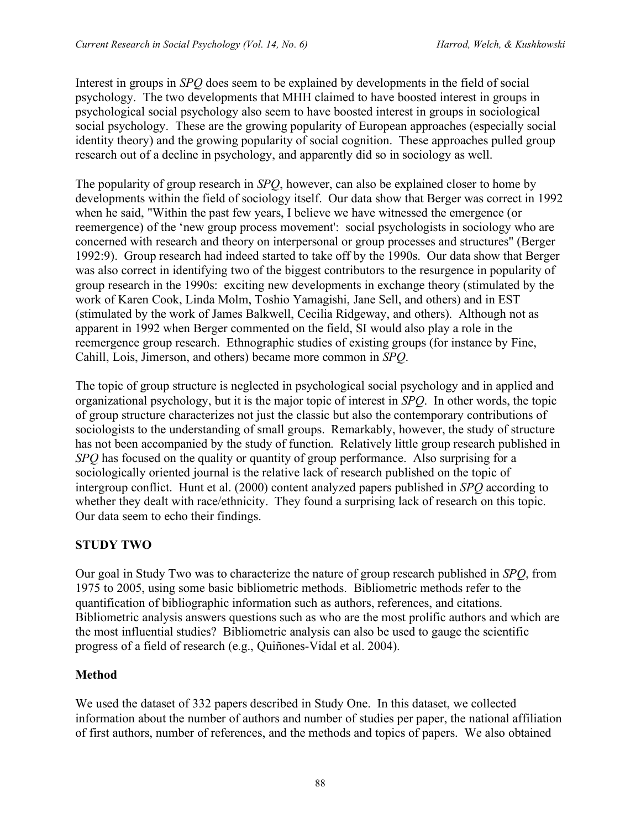Interest in groups in *SPQ* does seem to be explained by developments in the field of social psychology. The two developments that MHH claimed to have boosted interest in groups in psychological social psychology also seem to have boosted interest in groups in sociological social psychology. These are the growing popularity of European approaches (especially social identity theory) and the growing popularity of social cognition. These approaches pulled group research out of a decline in psychology, and apparently did so in sociology as well.

The popularity of group research in *SPQ*, however, can also be explained closer to home by developments within the field of sociology itself. Our data show that Berger was correct in 1992 when he said, "Within the past few years, I believe we have witnessed the emergence (or reemergence) of the 'new group process movement': social psychologists in sociology who are concerned with research and theory on interpersonal or group processes and structures" (Berger 1992:9). Group research had indeed started to take off by the 1990s. Our data show that Berger was also correct in identifying two of the biggest contributors to the resurgence in popularity of group research in the 1990s: exciting new developments in exchange theory (stimulated by the work of Karen Cook, Linda Molm, Toshio Yamagishi, Jane Sell, and others) and in EST (stimulated by the work of James Balkwell, Cecilia Ridgeway, and others). Although not as apparent in 1992 when Berger commented on the field, SI would also play a role in the reemergence group research. Ethnographic studies of existing groups (for instance by Fine, Cahill, Lois, Jimerson, and others) became more common in *SPQ*.

The topic of group structure is neglected in psychological social psychology and in applied and organizational psychology, but it is the major topic of interest in *SPQ*. In other words, the topic of group structure characterizes not just the classic but also the contemporary contributions of sociologists to the understanding of small groups. Remarkably, however, the study of structure has not been accompanied by the study of function. Relatively little group research published in *SPQ* has focused on the quality or quantity of group performance. Also surprising for a sociologically oriented journal is the relative lack of research published on the topic of intergroup conflict. Hunt et al. (2000) content analyzed papers published in *SPQ* according to whether they dealt with race/ethnicity. They found a surprising lack of research on this topic. Our data seem to echo their findings.

## **STUDY TWO**

Our goal in Study Two was to characterize the nature of group research published in *SPQ*, from 1975 to 2005, using some basic bibliometric methods. Bibliometric methods refer to the quantification of bibliographic information such as authors, references, and citations. Bibliometric analysis answers questions such as who are the most prolific authors and which are the most influential studies? Bibliometric analysis can also be used to gauge the scientific progress of a field of research (e.g., Quiñones-Vidal et al. 2004).

## **Method**

We used the dataset of 332 papers described in Study One. In this dataset, we collected information about the number of authors and number of studies per paper, the national affiliation of first authors, number of references, and the methods and topics of papers. We also obtained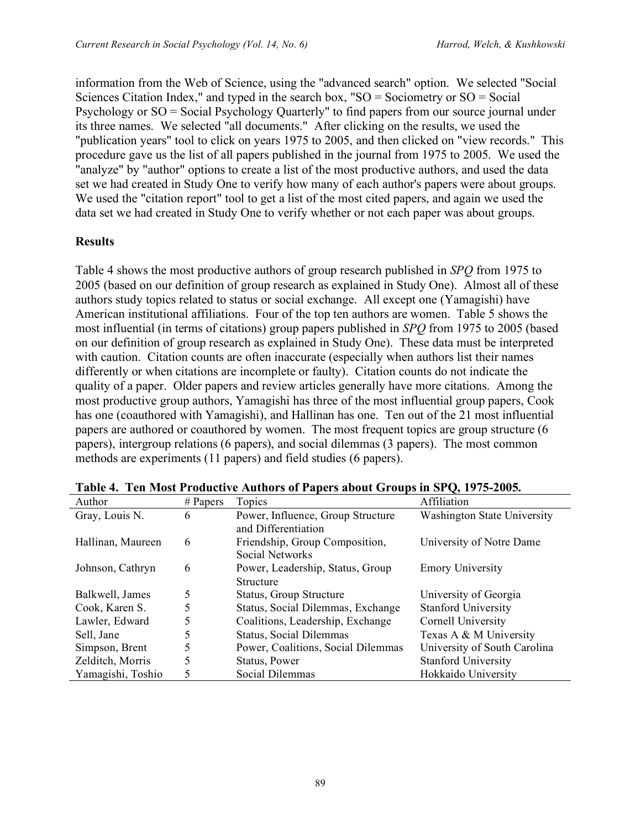information from the Web of Science, using the "advanced search" option. We selected "Social Sciences Citation Index," and typed in the search box, " $SO =$  Sociometry or  $SO =$  Social Psychology or SO = Social Psychology Quarterly" to find papers from our source journal under its three names. We selected "all documents." After clicking on the results, we used the "publication years" tool to click on years 1975 to 2005, and then clicked on "view records." This procedure gave us the list of all papers published in the journal from 1975 to 2005. We used the "analyze" by "author" options to create a list of the most productive authors, and used the data set we had created in Study One to verify how many of each author's papers were about groups. We used the "citation report" tool to get a list of the most cited papers, and again we used the data set we had created in Study One to verify whether or not each paper was about groups.

## **Results**

Table 4 shows the most productive authors of group research published in *SPQ* from 1975 to 2005 (based on our definition of group research as explained in Study One). Almost all of these authors study topics related to status or social exchange. All except one (Yamagishi) have American institutional affiliations. Four of the top ten authors are women. Table 5 shows the most influential (in terms of citations) group papers published in *SPQ* from 1975 to 2005 (based on our definition of group research as explained in Study One). These data must be interpreted with caution. Citation counts are often inaccurate (especially when authors list their names differently or when citations are incomplete or faulty). Citation counts do not indicate the quality of a paper. Older papers and review articles generally have more citations. Among the most productive group authors, Yamagishi has three of the most influential group papers, Cook has one (coauthored with Yamagishi), and Hallinan has one. Ten out of the 21 most influential papers are authored or coauthored by women. The most frequent topics are group structure (6 papers), intergroup relations (6 papers), and social dilemmas (3 papers). The most common methods are experiments (11 papers) and field studies (6 papers).

| Author            | $#$ Papers | Topics                             | Affiliation                        |
|-------------------|------------|------------------------------------|------------------------------------|
| Gray, Louis N.    | 6          | Power, Influence, Group Structure  | <b>Washington State University</b> |
|                   |            | and Differentiation                |                                    |
| Hallinan, Maureen | 6          | Friendship, Group Composition,     | University of Notre Dame           |
|                   |            | Social Networks                    |                                    |
| Johnson, Cathryn  | 6          | Power, Leadership, Status, Group   | <b>Emory University</b>            |
|                   |            | <b>Structure</b>                   |                                    |
| Balkwell, James   | 5          | Status, Group Structure            | University of Georgia              |
| Cook, Karen S.    |            | Status, Social Dilemmas, Exchange  | <b>Stanford University</b>         |
| Lawler, Edward    |            | Coalitions, Leadership, Exchange   | Cornell University                 |
| Sell, Jane        |            | Status, Social Dilemmas            | Texas A & M University             |
| Simpson, Brent    | 5          | Power, Coalitions, Social Dilemmas | University of South Carolina       |
| Zelditch, Morris  |            | Status, Power                      | <b>Stanford University</b>         |
| Yamagishi, Toshio |            | Social Dilemmas                    | Hokkaido University                |

**Table 4. Ten Most Productive Authors of Papers about Groups in SPQ, 1975-2005.**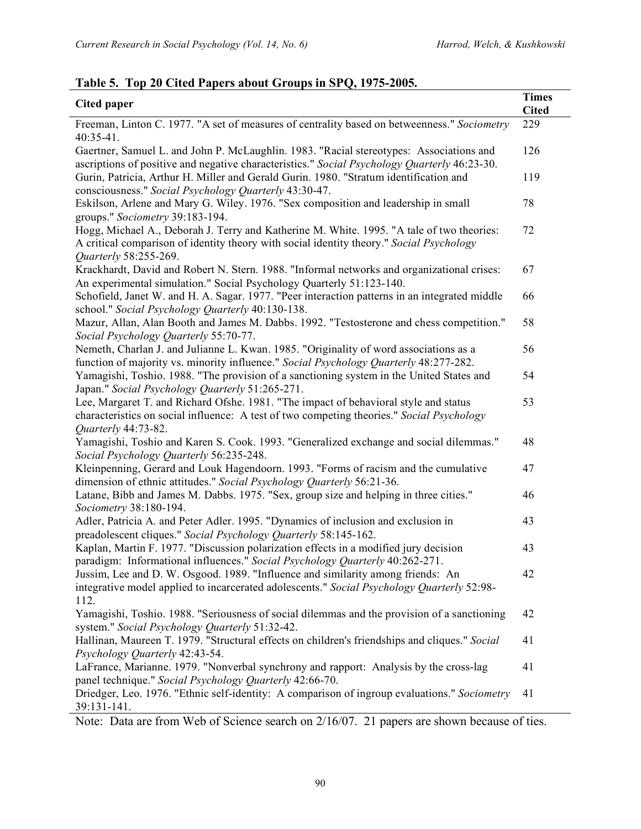| <b>Cited paper</b>                                                                                                                                                                                             | <b>Times</b><br><b>Cited</b> |
|----------------------------------------------------------------------------------------------------------------------------------------------------------------------------------------------------------------|------------------------------|
| Freeman, Linton C. 1977. "A set of measures of centrality based on betweenness." Sociometry<br>$40:35-41$ .                                                                                                    | 229                          |
| Gaertner, Samuel L. and John P. McLaughlin. 1983. "Racial stereotypes: Associations and<br>ascriptions of positive and negative characteristics." Social Psychology Quarterly 46:23-30.                        | 126                          |
| Gurin, Patricia, Arthur H. Miller and Gerald Gurin. 1980. "Stratum identification and<br>consciousness." Social Psychology Quarterly 43:30-47.                                                                 | 119                          |
| Eskilson, Arlene and Mary G. Wiley. 1976. "Sex composition and leadership in small<br>groups." Sociometry 39:183-194.                                                                                          | 78                           |
| Hogg, Michael A., Deborah J. Terry and Katherine M. White. 1995. "A tale of two theories:<br>A critical comparison of identity theory with social identity theory." Social Psychology<br>Quarterly 58:255-269. | 72                           |
| Krackhardt, David and Robert N. Stern. 1988. "Informal networks and organizational crises:<br>An experimental simulation." Social Psychology Quarterly 51:123-140.                                             | 67                           |
| Schofield, Janet W. and H. A. Sagar. 1977. "Peer interaction patterns in an integrated middle<br>school." Social Psychology Quarterly 40:130-138.                                                              | 66                           |
| Mazur, Allan, Alan Booth and James M. Dabbs. 1992. "Testosterone and chess competition."<br>Social Psychology Quarterly 55:70-77.                                                                              | 58                           |
| Nemeth, Charlan J. and Julianne L. Kwan. 1985. "Originality of word associations as a<br>function of majority vs. minority influence." Social Psychology Quarterly 48:277-282.                                 | 56                           |
| Yamagishi, Toshio. 1988. "The provision of a sanctioning system in the United States and<br>Japan." Social Psychology Quarterly 51:265-271.                                                                    | 54                           |
| Lee, Margaret T. and Richard Ofshe. 1981. "The impact of behavioral style and status<br>characteristics on social influence: A test of two competing theories." Social Psychology<br>Quarterly 44:73-82.       | 53                           |
| Yamagishi, Toshio and Karen S. Cook. 1993. "Generalized exchange and social dilemmas."<br>Social Psychology Quarterly 56:235-248.                                                                              | 48                           |
| Kleinpenning, Gerard and Louk Hagendoorn. 1993. "Forms of racism and the cumulative<br>dimension of ethnic attitudes." Social Psychology Quarterly 56:21-36.                                                   | 47                           |
| Latane, Bibb and James M. Dabbs. 1975. "Sex, group size and helping in three cities."<br>Sociometry 38:180-194.                                                                                                | 46                           |
| Adler, Patricia A. and Peter Adler. 1995. "Dynamics of inclusion and exclusion in<br>preadolescent cliques." Social Psychology Quarterly 58:145-162.                                                           | 43                           |
| Kaplan, Martin F. 1977. "Discussion polarization effects in a modified jury decision<br>paradigm: Informational influences." Social Psychology Quarterly 40:262-271.                                           | 43                           |
| Jussim, Lee and D. W. Osgood. 1989. "Influence and similarity among friends: An<br>integrative model applied to incarcerated adolescents." Social Psychology Quarterly 52:98-<br>112.                          | 42                           |
| Yamagishi, Toshio. 1988. "Seriousness of social dilemmas and the provision of a sanctioning<br>system." Social Psychology Quarterly 51:32-42.                                                                  | 42                           |
| Hallinan, Maureen T. 1979. "Structural effects on children's friendships and cliques." Social<br>Psychology Quarterly 42:43-54.                                                                                | 41                           |
| LaFrance, Marianne. 1979. "Nonverbal synchrony and rapport: Analysis by the cross-lag<br>panel technique." Social Psychology Quarterly 42:66-70.                                                               | 41                           |
| Driedger, Leo. 1976. "Ethnic self-identity: A comparison of ingroup evaluations." Sociometry<br>39:131-141.                                                                                                    | 41                           |

## **Table 5. Top 20 Cited Papers about Groups in SPQ, 1975-2005.**

Note: Data are from Web of Science search on 2/16/07. 21 papers are shown because of ties.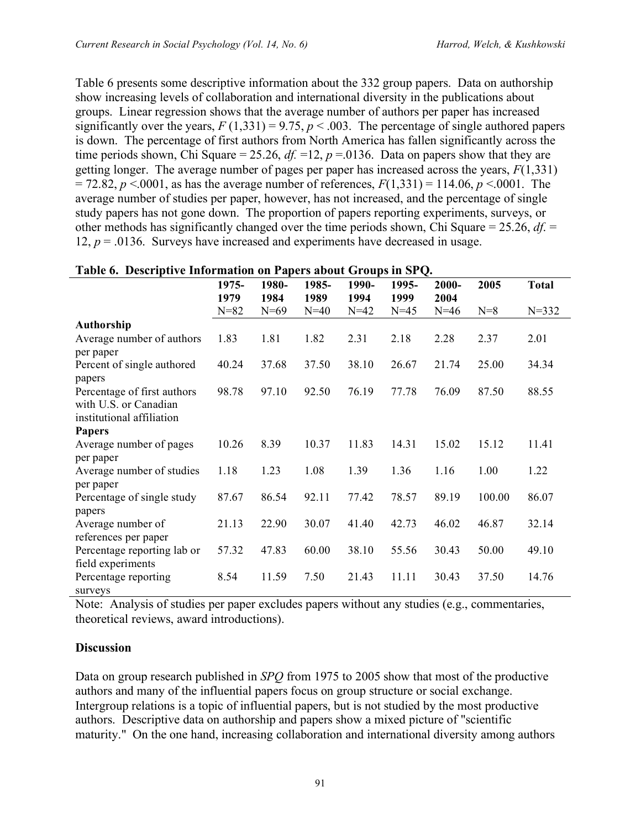Table 6 presents some descriptive information about the 332 group papers. Data on authorship show increasing levels of collaboration and international diversity in the publications about groups. Linear regression shows that the average number of authors per paper has increased significantly over the years,  $F(1,331) = 9.75$ ,  $p < .003$ . The percentage of single authored papers is down. The percentage of first authors from North America has fallen significantly across the time periods shown, Chi Square = 25.26,  $df = 12$ ,  $p = 0.0136$ . Data on papers show that they are getting longer. The average number of pages per paper has increased across the years, *F*(1,331)  $= 72.82, p \le 0.001$ , as has the average number of references,  $F(1,331) = 114.06, p \le 0.0001$ . The average number of studies per paper, however, has not increased, and the percentage of single study papers has not gone down. The proportion of papers reporting experiments, surveys, or other methods has significantly changed over the time periods shown, Chi Square = 25.26, *df*. = 12,  $p = 0.0136$ . Surveys have increased and experiments have decreased in usage.

|                             | 1975-    | 1980-  | 1985-  | 1990-  | 1995-  | 2000-  | 2005   | <b>Total</b> |
|-----------------------------|----------|--------|--------|--------|--------|--------|--------|--------------|
|                             | 1979     | 1984   | 1989   | 1994   | 1999   | 2004   |        |              |
|                             | $N = 82$ | $N=69$ | $N=40$ | $N=42$ | $N=45$ | $N=46$ | $N=8$  | $N = 332$    |
| <b>Authorship</b>           |          |        |        |        |        |        |        |              |
| Average number of authors   | 1.83     | 1.81   | 1.82   | 2.31   | 2.18   | 2.28   | 2.37   | 2.01         |
| per paper                   |          |        |        |        |        |        |        |              |
| Percent of single authored  | 40.24    | 37.68  | 37.50  | 38.10  | 26.67  | 21.74  | 25.00  | 34.34        |
| papers                      |          |        |        |        |        |        |        |              |
| Percentage of first authors | 98.78    | 97.10  | 92.50  | 76.19  | 77.78  | 76.09  | 87.50  | 88.55        |
| with U.S. or Canadian       |          |        |        |        |        |        |        |              |
| institutional affiliation   |          |        |        |        |        |        |        |              |
| <b>Papers</b>               |          |        |        |        |        |        |        |              |
| Average number of pages     | 10.26    | 8.39   | 10.37  | 11.83  | 14.31  | 15.02  | 15.12  | 11.41        |
| per paper                   |          |        |        |        |        |        |        |              |
| Average number of studies   | 1.18     | 1.23   | 1.08   | 1.39   | 1.36   | 1.16   | 1.00   | 1.22         |
| per paper                   |          |        |        |        |        |        |        |              |
| Percentage of single study  | 87.67    | 86.54  | 92.11  | 77.42  | 78.57  | 89.19  | 100.00 | 86.07        |
| papers                      |          |        |        |        |        |        |        |              |
| Average number of           | 21.13    | 22.90  | 30.07  | 41.40  | 42.73  | 46.02  | 46.87  | 32.14        |
| references per paper        |          |        |        |        |        |        |        |              |
| Percentage reporting lab or | 57.32    | 47.83  | 60.00  | 38.10  | 55.56  | 30.43  | 50.00  | 49.10        |
| field experiments           |          |        |        |        |        |        |        |              |
| Percentage reporting        | 8.54     | 11.59  | 7.50   | 21.43  | 11.11  | 30.43  | 37.50  | 14.76        |
| surveys                     |          |        |        |        |        |        |        |              |

### **Table 6. Descriptive Information on Papers about Groups in SPQ.**

Note: Analysis of studies per paper excludes papers without any studies (e.g., commentaries, theoretical reviews, award introductions).

## **Discussion**

Data on group research published in *SPQ* from 1975 to 2005 show that most of the productive authors and many of the influential papers focus on group structure or social exchange. Intergroup relations is a topic of influential papers, but is not studied by the most productive authors. Descriptive data on authorship and papers show a mixed picture of "scientific maturity." On the one hand, increasing collaboration and international diversity among authors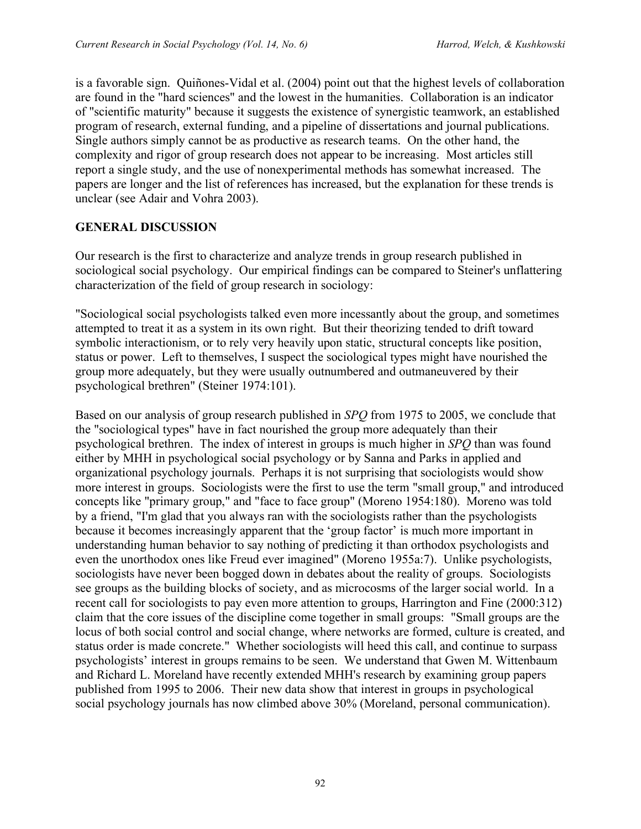is a favorable sign. Quiñones-Vidal et al. (2004) point out that the highest levels of collaboration are found in the "hard sciences" and the lowest in the humanities. Collaboration is an indicator of "scientific maturity" because it suggests the existence of synergistic teamwork, an established program of research, external funding, and a pipeline of dissertations and journal publications. Single authors simply cannot be as productive as research teams. On the other hand, the complexity and rigor of group research does not appear to be increasing. Most articles still report a single study, and the use of nonexperimental methods has somewhat increased. The papers are longer and the list of references has increased, but the explanation for these trends is unclear (see Adair and Vohra 2003).

## **GENERAL DISCUSSION**

Our research is the first to characterize and analyze trends in group research published in sociological social psychology. Our empirical findings can be compared to Steiner's unflattering characterization of the field of group research in sociology:

"Sociological social psychologists talked even more incessantly about the group, and sometimes attempted to treat it as a system in its own right. But their theorizing tended to drift toward symbolic interactionism, or to rely very heavily upon static, structural concepts like position, status or power. Left to themselves, I suspect the sociological types might have nourished the group more adequately, but they were usually outnumbered and outmaneuvered by their psychological brethren" (Steiner 1974:101).

Based on our analysis of group research published in *SPQ* from 1975 to 2005, we conclude that the "sociological types" have in fact nourished the group more adequately than their psychological brethren. The index of interest in groups is much higher in *SPQ* than was found either by MHH in psychological social psychology or by Sanna and Parks in applied and organizational psychology journals. Perhaps it is not surprising that sociologists would show more interest in groups. Sociologists were the first to use the term "small group," and introduced concepts like "primary group," and "face to face group" (Moreno 1954:180). Moreno was told by a friend, "I'm glad that you always ran with the sociologists rather than the psychologists because it becomes increasingly apparent that the 'group factor' is much more important in understanding human behavior to say nothing of predicting it than orthodox psychologists and even the unorthodox ones like Freud ever imagined" (Moreno 1955a:7). Unlike psychologists, sociologists have never been bogged down in debates about the reality of groups. Sociologists see groups as the building blocks of society, and as microcosms of the larger social world. In a recent call for sociologists to pay even more attention to groups, Harrington and Fine (2000:312) claim that the core issues of the discipline come together in small groups: "Small groups are the locus of both social control and social change, where networks are formed, culture is created, and status order is made concrete." Whether sociologists will heed this call, and continue to surpass psychologists' interest in groups remains to be seen. We understand that Gwen M. Wittenbaum and Richard L. Moreland have recently extended MHH's research by examining group papers published from 1995 to 2006. Their new data show that interest in groups in psychological social psychology journals has now climbed above 30% (Moreland, personal communication).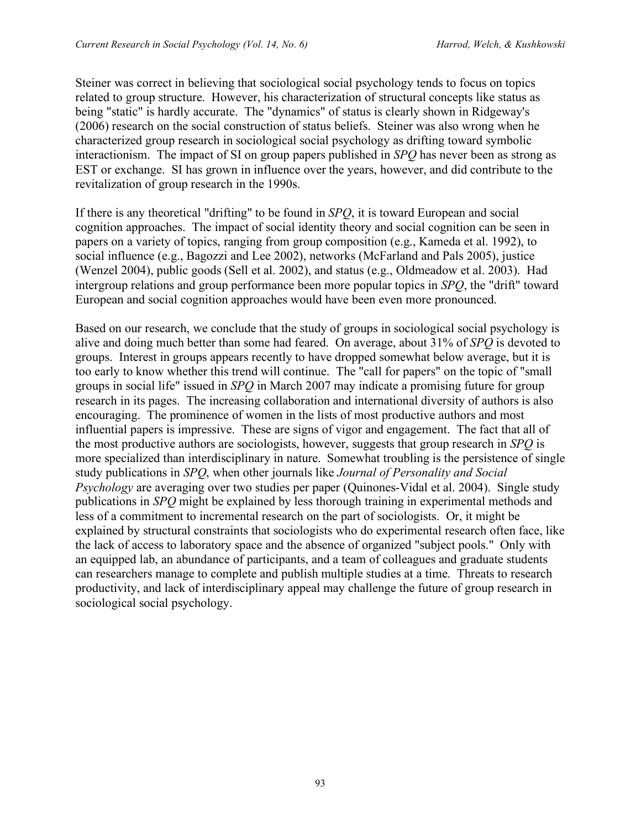Steiner was correct in believing that sociological social psychology tends to focus on topics related to group structure. However, his characterization of structural concepts like status as being "static" is hardly accurate. The "dynamics" of status is clearly shown in Ridgeway's (2006) research on the social construction of status beliefs. Steiner was also wrong when he characterized group research in sociological social psychology as drifting toward symbolic interactionism. The impact of SI on group papers published in *SPQ* has never been as strong as EST or exchange. SI has grown in influence over the years, however, and did contribute to the revitalization of group research in the 1990s.

If there is any theoretical "drifting" to be found in *SPQ*, it is toward European and social cognition approaches. The impact of social identity theory and social cognition can be seen in papers on a variety of topics, ranging from group composition (e.g., Kameda et al. 1992), to social influence (e.g., Bagozzi and Lee 2002), networks (McFarland and Pals 2005), justice (Wenzel 2004), public goods (Sell et al. 2002), and status (e.g., Oldmeadow et al. 2003). Had intergroup relations and group performance been more popular topics in *SPQ*, the "drift" toward European and social cognition approaches would have been even more pronounced.

Based on our research, we conclude that the study of groups in sociological social psychology is alive and doing much better than some had feared. On average, about 31% of *SPQ* is devoted to groups. Interest in groups appears recently to have dropped somewhat below average, but it is too early to know whether this trend will continue. The "call for papers" on the topic of "small groups in social life" issued in *SPQ* in March 2007 may indicate a promising future for group research in its pages. The increasing collaboration and international diversity of authors is also encouraging. The prominence of women in the lists of most productive authors and most influential papers is impressive. These are signs of vigor and engagement. The fact that all of the most productive authors are sociologists, however, suggests that group research in *SPQ* is more specialized than interdisciplinary in nature. Somewhat troubling is the persistence of single study publications in *SPQ*, when other journals like *Journal of Personality and Social Psychology* are averaging over two studies per paper (Quinones-Vidal et al. 2004). Single study publications in *SPQ* might be explained by less thorough training in experimental methods and less of a commitment to incremental research on the part of sociologists. Or, it might be explained by structural constraints that sociologists who do experimental research often face, like the lack of access to laboratory space and the absence of organized "subject pools." Only with an equipped lab, an abundance of participants, and a team of colleagues and graduate students can researchers manage to complete and publish multiple studies at a time. Threats to research productivity, and lack of interdisciplinary appeal may challenge the future of group research in sociological social psychology.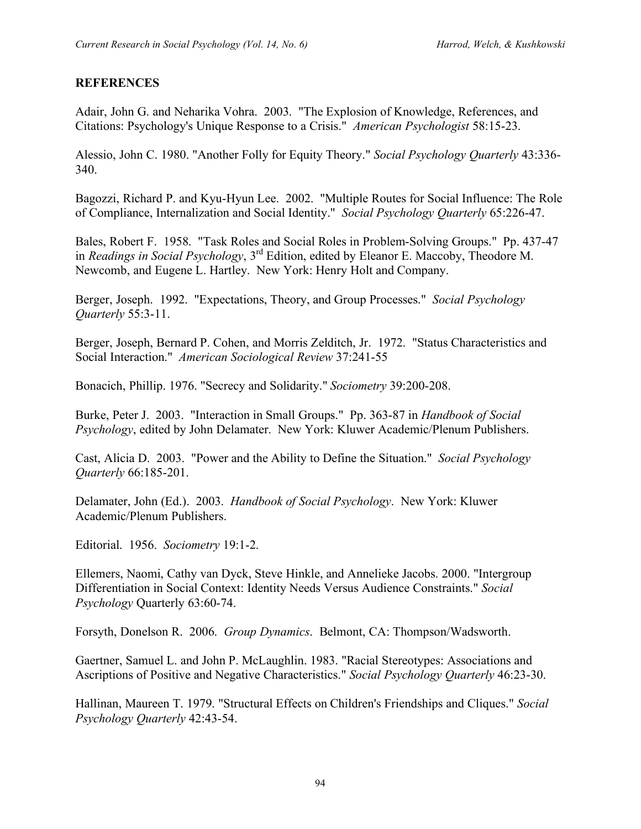## **REFERENCES**

Adair, John G. and Neharika Vohra. 2003. "The Explosion of Knowledge, References, and Citations: Psychology's Unique Response to a Crisis." *American Psychologist* 58:15-23.

Alessio, John C. 1980. "Another Folly for Equity Theory." *Social Psychology Quarterly* 43:336- 340.

Bagozzi, Richard P. and Kyu-Hyun Lee. 2002. "Multiple Routes for Social Influence: The Role of Compliance, Internalization and Social Identity." *Social Psychology Quarterly* 65:226-47.

Bales, Robert F. 1958. "Task Roles and Social Roles in Problem-Solving Groups." Pp. 437-47 in *Readings in Social Psychology*, 3rd Edition, edited by Eleanor E. Maccoby, Theodore M. Newcomb, and Eugene L. Hartley. New York: Henry Holt and Company.

Berger, Joseph. 1992. "Expectations, Theory, and Group Processes." *Social Psychology Quarterly* 55:3-11.

Berger, Joseph, Bernard P. Cohen, and Morris Zelditch, Jr. 1972. "Status Characteristics and Social Interaction." *American Sociological Review* 37:241-55

Bonacich, Phillip. 1976. "Secrecy and Solidarity." *Sociometry* 39:200-208.

Burke, Peter J. 2003. "Interaction in Small Groups." Pp. 363-87 in *Handbook of Social Psychology*, edited by John Delamater. New York: Kluwer Academic/Plenum Publishers.

Cast, Alicia D. 2003. "Power and the Ability to Define the Situation." *Social Psychology Quarterly* 66:185-201.

Delamater, John (Ed.). 2003. *Handbook of Social Psychology*. New York: Kluwer Academic/Plenum Publishers.

Editorial. 1956. *Sociometry* 19:1-2.

Ellemers, Naomi, Cathy van Dyck, Steve Hinkle, and Annelieke Jacobs. 2000. "Intergroup Differentiation in Social Context: Identity Needs Versus Audience Constraints." *Social Psychology* Quarterly 63:60-74.

Forsyth, Donelson R. 2006. *Group Dynamics*. Belmont, CA: Thompson/Wadsworth.

Gaertner, Samuel L. and John P. McLaughlin. 1983. "Racial Stereotypes: Associations and Ascriptions of Positive and Negative Characteristics." *Social Psychology Quarterly* 46:23-30.

Hallinan, Maureen T. 1979. "Structural Effects on Children's Friendships and Cliques." *Social Psychology Quarterly* 42:43-54.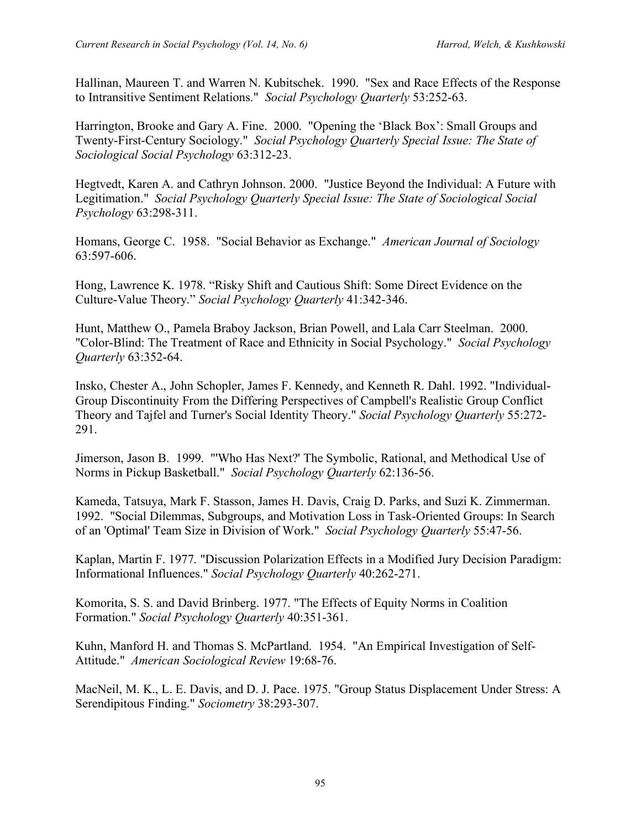Hallinan, Maureen T. and Warren N. Kubitschek. 1990. "Sex and Race Effects of the Response to Intransitive Sentiment Relations." *Social Psychology Quarterly* 53:252-63.

Harrington, Brooke and Gary A. Fine. 2000. "Opening the 'Black Box': Small Groups and Twenty-First-Century Sociology." *Social Psychology Quarterly Special Issue: The State of Sociological Social Psychology* 63:312-23.

Hegtvedt, Karen A. and Cathryn Johnson. 2000. "Justice Beyond the Individual: A Future with Legitimation." *Social Psychology Quarterly Special Issue: The State of Sociological Social Psychology* 63:298-311.

Homans, George C. 1958. "Social Behavior as Exchange." *American Journal of Sociology* 63:597-606.

Hong, Lawrence K. 1978. "Risky Shift and Cautious Shift: Some Direct Evidence on the Culture-Value Theory." *Social Psychology Quarterly* 41:342-346.

Hunt, Matthew O., Pamela Braboy Jackson, Brian Powell, and Lala Carr Steelman. 2000. "Color-Blind: The Treatment of Race and Ethnicity in Social Psychology." *Social Psychology Quarterly* 63:352-64.

Insko, Chester A., John Schopler, James F. Kennedy, and Kenneth R. Dahl. 1992. "Individual-Group Discontinuity From the Differing Perspectives of Campbell's Realistic Group Conflict Theory and Tajfel and Turner's Social Identity Theory." *Social Psychology Quarterly* 55:272- 291.

Jimerson, Jason B. 1999. "'Who Has Next?' The Symbolic, Rational, and Methodical Use of Norms in Pickup Basketball." *Social Psychology Quarterly* 62:136-56.

Kameda, Tatsuya, Mark F. Stasson, James H. Davis, Craig D. Parks, and Suzi K. Zimmerman. 1992. "Social Dilemmas, Subgroups, and Motivation Loss in Task-Oriented Groups: In Search of an 'Optimal' Team Size in Division of Work." *Social Psychology Quarterly* 55:47-56.

Kaplan, Martin F. 1977. "Discussion Polarization Effects in a Modified Jury Decision Paradigm: Informational Influences." *Social Psychology Quarterly* 40:262-271.

Komorita, S. S. and David Brinberg. 1977. "The Effects of Equity Norms in Coalition Formation." *Social Psychology Quarterly* 40:351-361.

Kuhn, Manford H. and Thomas S. McPartland. 1954. "An Empirical Investigation of Self-Attitude." *American Sociological Review* 19:68-76.

MacNeil, M. K., L. E. Davis, and D. J. Pace. 1975. "Group Status Displacement Under Stress: A Serendipitous Finding." *Sociometry* 38:293-307.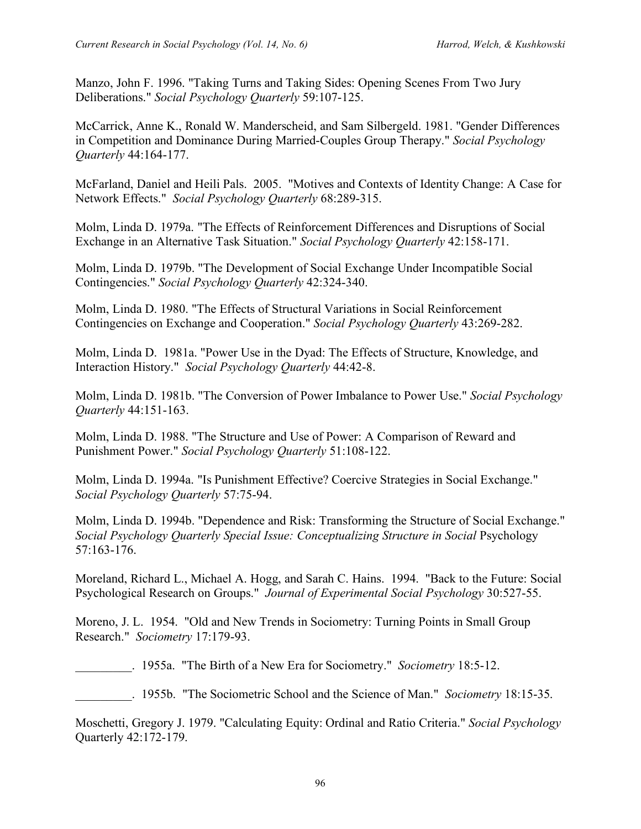Manzo, John F. 1996. "Taking Turns and Taking Sides: Opening Scenes From Two Jury Deliberations." *Social Psychology Quarterly* 59:107-125.

McCarrick, Anne K., Ronald W. Manderscheid, and Sam Silbergeld. 1981. "Gender Differences in Competition and Dominance During Married-Couples Group Therapy." *Social Psychology Quarterly* 44:164-177.

McFarland, Daniel and Heili Pals. 2005. "Motives and Contexts of Identity Change: A Case for Network Effects." *Social Psychology Quarterly* 68:289-315.

Molm, Linda D. 1979a. "The Effects of Reinforcement Differences and Disruptions of Social Exchange in an Alternative Task Situation." *Social Psychology Quarterly* 42:158-171.

Molm, Linda D. 1979b. "The Development of Social Exchange Under Incompatible Social Contingencies." *Social Psychology Quarterly* 42:324-340.

Molm, Linda D. 1980. "The Effects of Structural Variations in Social Reinforcement Contingencies on Exchange and Cooperation." *Social Psychology Quarterly* 43:269-282.

Molm, Linda D. 1981a. "Power Use in the Dyad: The Effects of Structure, Knowledge, and Interaction History." *Social Psychology Quarterly* 44:42-8.

Molm, Linda D. 1981b. "The Conversion of Power Imbalance to Power Use." *Social Psychology Quarterly* 44:151-163.

Molm, Linda D. 1988. "The Structure and Use of Power: A Comparison of Reward and Punishment Power." *Social Psychology Quarterly* 51:108-122.

Molm, Linda D. 1994a. "Is Punishment Effective? Coercive Strategies in Social Exchange." *Social Psychology Quarterly* 57:75-94.

Molm, Linda D. 1994b. "Dependence and Risk: Transforming the Structure of Social Exchange." *Social Psychology Quarterly Special Issue: Conceptualizing Structure in Social* Psychology 57:163-176.

Moreland, Richard L., Michael A. Hogg, and Sarah C. Hains. 1994. "Back to the Future: Social Psychological Research on Groups." *Journal of Experimental Social Psychology* 30:527-55.

Moreno, J. L. 1954. "Old and New Trends in Sociometry: Turning Points in Small Group Research." *Sociometry* 17:179-93.

\_\_\_\_\_\_\_\_\_. 1955a. "The Birth of a New Era for Sociometry." *Sociometry* 18:5-12.

\_\_\_\_\_\_\_\_\_. 1955b. "The Sociometric School and the Science of Man." *Sociometry* 18:15-35.

Moschetti, Gregory J. 1979. "Calculating Equity: Ordinal and Ratio Criteria." *Social Psychology* Quarterly 42:172-179.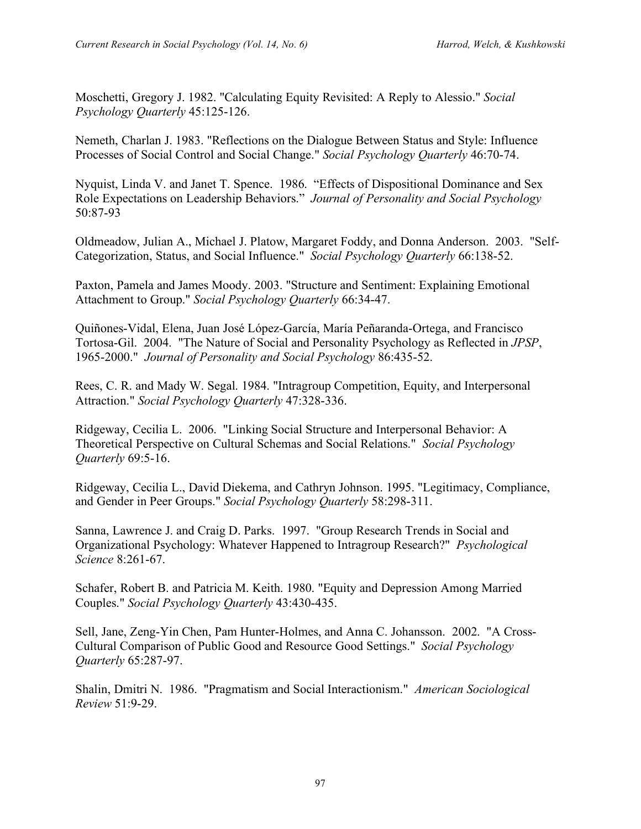Moschetti, Gregory J. 1982. "Calculating Equity Revisited: A Reply to Alessio." *Social Psychology Quarterly* 45:125-126.

Nemeth, Charlan J. 1983. "Reflections on the Dialogue Between Status and Style: Influence Processes of Social Control and Social Change." *Social Psychology Quarterly* 46:70-74.

Nyquist, Linda V. and Janet T. Spence. 1986. "Effects of Dispositional Dominance and Sex Role Expectations on Leadership Behaviors." *Journal of Personality and Social Psychology* 50:87-93

Oldmeadow, Julian A., Michael J. Platow, Margaret Foddy, and Donna Anderson. 2003. "Self-Categorization, Status, and Social Influence." *Social Psychology Quarterly* 66:138-52.

Paxton, Pamela and James Moody. 2003. "Structure and Sentiment: Explaining Emotional Attachment to Group." *Social Psychology Quarterly* 66:34-47.

Quiñones-Vidal, Elena, Juan José López-García, María Peñaranda-Ortega, and Francisco Tortosa-Gil. 2004. "The Nature of Social and Personality Psychology as Reflected in *JPSP*, 1965-2000." *Journal of Personality and Social Psychology* 86:435-52.

Rees, C. R. and Mady W. Segal. 1984. "Intragroup Competition, Equity, and Interpersonal Attraction." *Social Psychology Quarterly* 47:328-336.

Ridgeway, Cecilia L. 2006. "Linking Social Structure and Interpersonal Behavior: A Theoretical Perspective on Cultural Schemas and Social Relations." *Social Psychology Quarterly* 69:5-16.

Ridgeway, Cecilia L., David Diekema, and Cathryn Johnson. 1995. "Legitimacy, Compliance, and Gender in Peer Groups." *Social Psychology Quarterly* 58:298-311.

Sanna, Lawrence J. and Craig D. Parks. 1997. "Group Research Trends in Social and Organizational Psychology: Whatever Happened to Intragroup Research?" *Psychological Science* 8:261-67.

Schafer, Robert B. and Patricia M. Keith. 1980. "Equity and Depression Among Married Couples." *Social Psychology Quarterly* 43:430-435.

Sell, Jane, Zeng-Yin Chen, Pam Hunter-Holmes, and Anna C. Johansson. 2002. "A Cross-Cultural Comparison of Public Good and Resource Good Settings." *Social Psychology Quarterly* 65:287-97.

Shalin, Dmitri N. 1986. "Pragmatism and Social Interactionism." *American Sociological Review* 51:9-29.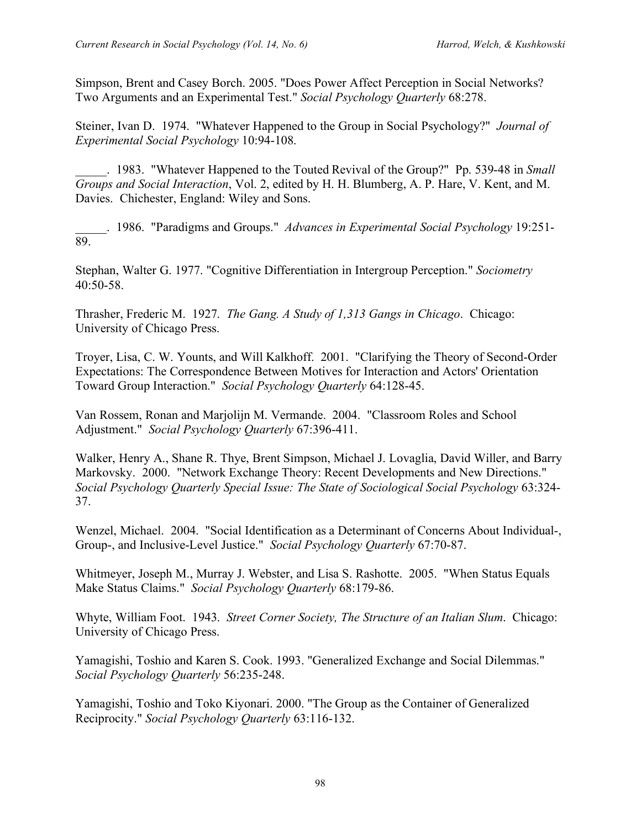Simpson, Brent and Casey Borch. 2005. "Does Power Affect Perception in Social Networks? Two Arguments and an Experimental Test." *Social Psychology Quarterly* 68:278.

Steiner, Ivan D. 1974. "Whatever Happened to the Group in Social Psychology?" *Journal of Experimental Social Psychology* 10:94-108.

\_\_\_\_\_. 1983. "Whatever Happened to the Touted Revival of the Group?" Pp. 539-48 in *Small Groups and Social Interaction*, Vol. 2, edited by H. H. Blumberg, A. P. Hare, V. Kent, and M. Davies. Chichester, England: Wiley and Sons.

\_\_\_\_\_. 1986. "Paradigms and Groups." *Advances in Experimental Social Psychology* 19:251- 89.

Stephan, Walter G. 1977. "Cognitive Differentiation in Intergroup Perception." *Sociometry* 40:50-58.

Thrasher, Frederic M. 1927. *The Gang. A Study of 1,313 Gangs in Chicago*. Chicago: University of Chicago Press.

Troyer, Lisa, C. W. Younts, and Will Kalkhoff. 2001. "Clarifying the Theory of Second-Order Expectations: The Correspondence Between Motives for Interaction and Actors' Orientation Toward Group Interaction." *Social Psychology Quarterly* 64:128-45.

Van Rossem, Ronan and Marjolijn M. Vermande. 2004. "Classroom Roles and School Adjustment." *Social Psychology Quarterly* 67:396-411.

Walker, Henry A., Shane R. Thye, Brent Simpson, Michael J. Lovaglia, David Willer, and Barry Markovsky. 2000. "Network Exchange Theory: Recent Developments and New Directions." *Social Psychology Quarterly Special Issue: The State of Sociological Social Psychology* 63:324- 37.

Wenzel, Michael. 2004. "Social Identification as a Determinant of Concerns About Individual-, Group-, and Inclusive-Level Justice." *Social Psychology Quarterly* 67:70-87.

Whitmeyer, Joseph M., Murray J. Webster, and Lisa S. Rashotte. 2005. "When Status Equals Make Status Claims." *Social Psychology Quarterly* 68:179-86.

Whyte, William Foot. 1943. *Street Corner Society, The Structure of an Italian Slum*. Chicago: University of Chicago Press.

Yamagishi, Toshio and Karen S. Cook. 1993. "Generalized Exchange and Social Dilemmas." *Social Psychology Quarterly* 56:235-248.

Yamagishi, Toshio and Toko Kiyonari. 2000. "The Group as the Container of Generalized Reciprocity." *Social Psychology Quarterly* 63:116-132.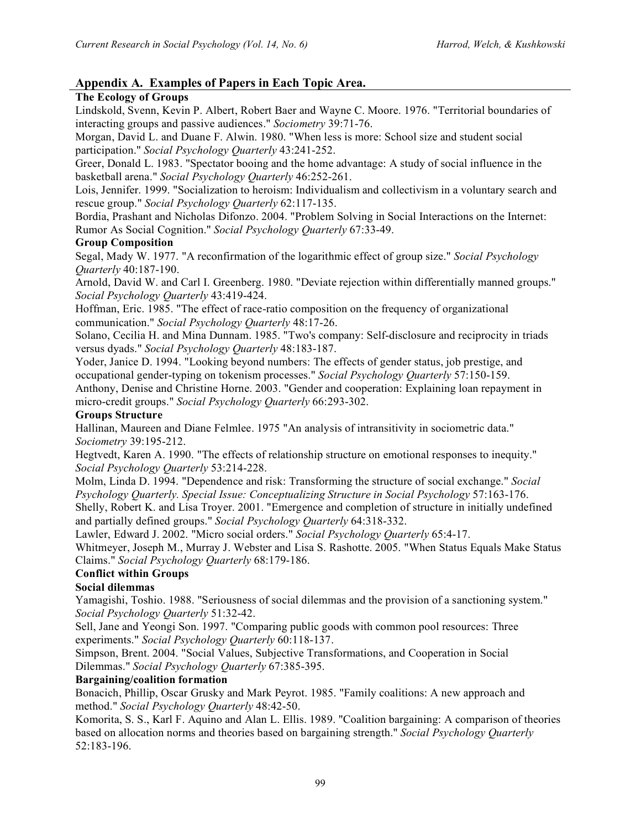## **Appendix A. Examples of Papers in Each Topic Area.**

#### **The Ecology of Groups**

Lindskold, Svenn, Kevin P. Albert, Robert Baer and Wayne C. Moore. 1976. "Territorial boundaries of interacting groups and passive audiences." *Sociometry* 39:71-76.

Morgan, David L. and Duane F. Alwin. 1980. "When less is more: School size and student social participation." *Social Psychology Quarterly* 43:241-252.

Greer, Donald L. 1983. "Spectator booing and the home advantage: A study of social influence in the basketball arena." *Social Psychology Quarterly* 46:252-261.

Lois, Jennifer. 1999. "Socialization to heroism: Individualism and collectivism in a voluntary search and rescue group." *Social Psychology Quarterly* 62:117-135.

Bordia, Prashant and Nicholas Difonzo. 2004. "Problem Solving in Social Interactions on the Internet: Rumor As Social Cognition." *Social Psychology Quarterly* 67:33-49.

#### **Group Composition**

Segal, Mady W. 1977. "A reconfirmation of the logarithmic effect of group size." *Social Psychology Quarterly* 40:187-190.

Arnold, David W. and Carl I. Greenberg. 1980. "Deviate rejection within differentially manned groups." *Social Psychology Quarterly* 43:419-424.

Hoffman, Eric. 1985. "The effect of race-ratio composition on the frequency of organizational communication." *Social Psychology Quarterly* 48:17-26.

Solano, Cecilia H. and Mina Dunnam. 1985. "Two's company: Self-disclosure and reciprocity in triads versus dyads." *Social Psychology Quarterly* 48:183-187.

Yoder, Janice D. 1994. "Looking beyond numbers: The effects of gender status, job prestige, and occupational gender-typing on tokenism processes." *Social Psychology Quarterly* 57:150-159.

Anthony, Denise and Christine Horne. 2003. "Gender and cooperation: Explaining loan repayment in micro-credit groups." *Social Psychology Quarterly* 66:293-302.

#### **Groups Structure**

Hallinan, Maureen and Diane Felmlee. 1975 "An analysis of intransitivity in sociometric data." *Sociometry* 39:195-212.

Hegtvedt, Karen A. 1990. "The effects of relationship structure on emotional responses to inequity." *Social Psychology Quarterly* 53:214-228.

Molm, Linda D. 1994. "Dependence and risk: Transforming the structure of social exchange." *Social Psychology Quarterly. Special Issue: Conceptualizing Structure in Social Psychology* 57:163-176. Shelly, Robert K. and Lisa Troyer. 2001. "Emergence and completion of structure in initially undefined and partially defined groups." *Social Psychology Quarterly* 64:318-332.

Lawler, Edward J. 2002. "Micro social orders." *Social Psychology Quarterly* 65:4-17.

Whitmeyer, Joseph M., Murray J. Webster and Lisa S. Rashotte. 2005. "When Status Equals Make Status Claims." *Social Psychology Quarterly* 68:179-186.

#### **Conflict within Groups**

### **Social dilemmas**

Yamagishi, Toshio. 1988. "Seriousness of social dilemmas and the provision of a sanctioning system." *Social Psychology Quarterly* 51:32-42.

Sell, Jane and Yeongi Son. 1997. "Comparing public goods with common pool resources: Three experiments." *Social Psychology Quarterly* 60:118-137.

Simpson, Brent. 2004. "Social Values, Subjective Transformations, and Cooperation in Social Dilemmas." *Social Psychology Quarterly* 67:385-395.

#### **Bargaining/coalition formation**

Bonacich, Phillip, Oscar Grusky and Mark Peyrot. 1985. "Family coalitions: A new approach and method." *Social Psychology Quarterly* 48:42-50.

Komorita, S. S., Karl F. Aquino and Alan L. Ellis. 1989. "Coalition bargaining: A comparison of theories based on allocation norms and theories based on bargaining strength." *Social Psychology Quarterly* 52:183-196.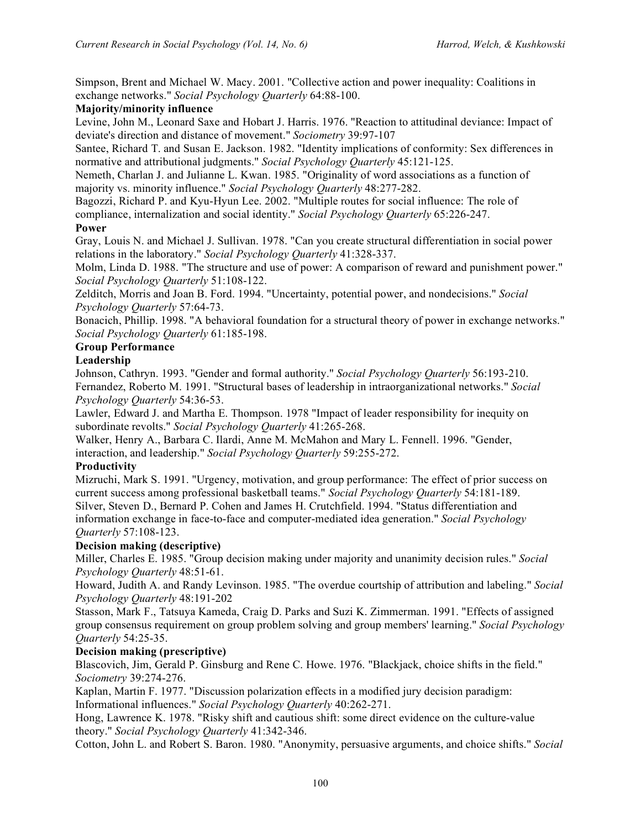Simpson, Brent and Michael W. Macy. 2001. "Collective action and power inequality: Coalitions in exchange networks." *Social Psychology Quarterly* 64:88-100.

#### **Majority/minority influence**

Levine, John M., Leonard Saxe and Hobart J. Harris. 1976. "Reaction to attitudinal deviance: Impact of deviate's direction and distance of movement." *Sociometry* 39:97-107

Santee, Richard T. and Susan E. Jackson. 1982. "Identity implications of conformity: Sex differences in normative and attributional judgments." *Social Psychology Quarterly* 45:121-125.

Nemeth, Charlan J. and Julianne L. Kwan. 1985. "Originality of word associations as a function of majority vs. minority influence." *Social Psychology Quarterly* 48:277-282.

Bagozzi, Richard P. and Kyu-Hyun Lee. 2002. "Multiple routes for social influence: The role of compliance, internalization and social identity." *Social Psychology Quarterly* 65:226-247.

#### **Power**

Gray, Louis N. and Michael J. Sullivan. 1978. "Can you create structural differentiation in social power relations in the laboratory." *Social Psychology Quarterly* 41:328-337.

Molm, Linda D. 1988. "The structure and use of power: A comparison of reward and punishment power." *Social Psychology Quarterly* 51:108-122.

Zelditch, Morris and Joan B. Ford. 1994. "Uncertainty, potential power, and nondecisions." *Social Psychology Quarterly* 57:64-73.

Bonacich, Phillip. 1998. "A behavioral foundation for a structural theory of power in exchange networks." *Social Psychology Quarterly* 61:185-198.

#### **Group Performance**

#### **Leadership**

Johnson, Cathryn. 1993. "Gender and formal authority." *Social Psychology Quarterly* 56:193-210. Fernandez, Roberto M. 1991. "Structural bases of leadership in intraorganizational networks." *Social Psychology Quarterly* 54:36-53.

Lawler, Edward J. and Martha E. Thompson. 1978 "Impact of leader responsibility for inequity on subordinate revolts." *Social Psychology Quarterly* 41:265-268.

Walker, Henry A., Barbara C. Ilardi, Anne M. McMahon and Mary L. Fennell. 1996. "Gender, interaction, and leadership." *Social Psychology Quarterly* 59:255-272.

### **Productivity**

Mizruchi, Mark S. 1991. "Urgency, motivation, and group performance: The effect of prior success on current success among professional basketball teams." *Social Psychology Quarterly* 54:181-189. Silver, Steven D., Bernard P. Cohen and James H. Crutchfield. 1994. "Status differentiation and information exchange in face-to-face and computer-mediated idea generation." *Social Psychology Quarterly* 57:108-123.

#### **Decision making (descriptive)**

Miller, Charles E. 1985. "Group decision making under majority and unanimity decision rules." *Social Psychology Quarterly* 48:51-61.

Howard, Judith A. and Randy Levinson. 1985. "The overdue courtship of attribution and labeling." *Social Psychology Quarterly* 48:191-202

Stasson, Mark F., Tatsuya Kameda, Craig D. Parks and Suzi K. Zimmerman. 1991. "Effects of assigned group consensus requirement on group problem solving and group members' learning." *Social Psychology Quarterly* 54:25-35.

#### **Decision making (prescriptive)**

Blascovich, Jim, Gerald P. Ginsburg and Rene C. Howe. 1976. "Blackjack, choice shifts in the field." *Sociometry* 39:274-276.

Kaplan, Martin F. 1977. "Discussion polarization effects in a modified jury decision paradigm: Informational influences." *Social Psychology Quarterly* 40:262-271.

Hong, Lawrence K. 1978. "Risky shift and cautious shift: some direct evidence on the culture-value theory." *Social Psychology Quarterly* 41:342-346.

Cotton, John L. and Robert S. Baron. 1980. "Anonymity, persuasive arguments, and choice shifts." *Social*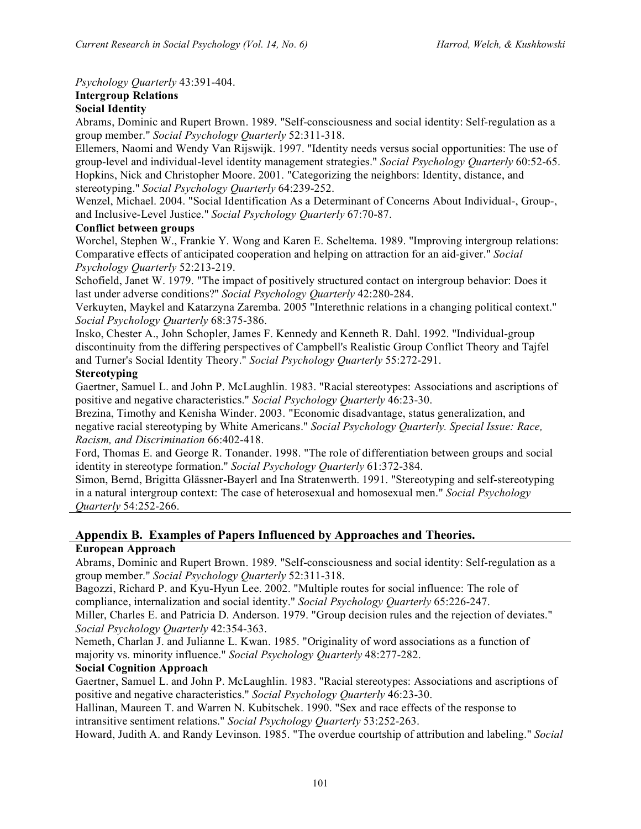*Psychology Quarterly* 43:391-404.

### **Intergroup Relations**

#### **Social Identity**

Abrams, Dominic and Rupert Brown. 1989. "Self-consciousness and social identity: Self-regulation as a group member." *Social Psychology Quarterly* 52:311-318.

Ellemers, Naomi and Wendy Van Rijswijk. 1997. "Identity needs versus social opportunities: The use of group-level and individual-level identity management strategies." *Social Psychology Quarterly* 60:52-65. Hopkins, Nick and Christopher Moore. 2001. "Categorizing the neighbors: Identity, distance, and stereotyping." *Social Psychology Quarterly* 64:239-252.

Wenzel, Michael. 2004. "Social Identification As a Determinant of Concerns About Individual-, Group-, and Inclusive-Level Justice." *Social Psychology Quarterly* 67:70-87.

#### **Conflict between groups**

Worchel, Stephen W., Frankie Y. Wong and Karen E. Scheltema. 1989. "Improving intergroup relations: Comparative effects of anticipated cooperation and helping on attraction for an aid-giver." *Social Psychology Quarterly* 52:213-219.

Schofield, Janet W. 1979. "The impact of positively structured contact on intergroup behavior: Does it last under adverse conditions?" *Social Psychology Quarterly* 42:280-284.

Verkuyten, Maykel and Katarzyna Zaremba. 2005 "Interethnic relations in a changing political context." *Social Psychology Quarterly* 68:375-386.

Insko, Chester A., John Schopler, James F. Kennedy and Kenneth R. Dahl. 1992. "Individual-group discontinuity from the differing perspectives of Campbell's Realistic Group Conflict Theory and Tajfel and Turner's Social Identity Theory." *Social Psychology Quarterly* 55:272-291.

#### **Stereotyping**

Gaertner, Samuel L. and John P. McLaughlin. 1983. "Racial stereotypes: Associations and ascriptions of positive and negative characteristics." *Social Psychology Quarterly* 46:23-30.

Brezina, Timothy and Kenisha Winder. 2003. "Economic disadvantage, status generalization, and negative racial stereotyping by White Americans." *Social Psychology Quarterly. Special Issue: Race, Racism, and Discrimination* 66:402-418.

Ford, Thomas E. and George R. Tonander. 1998. "The role of differentiation between groups and social identity in stereotype formation." *Social Psychology Quarterly* 61:372-384.

Simon, Bernd, Brigitta Glässner-Bayerl and Ina Stratenwerth. 1991. "Stereotyping and self-stereotyping in a natural intergroup context: The case of heterosexual and homosexual men." *Social Psychology Quarterly* 54:252-266.

## **Appendix B. Examples of Papers Influenced by Approaches and Theories.**

#### **European Approach**

Abrams, Dominic and Rupert Brown. 1989. "Self-consciousness and social identity: Self-regulation as a group member." *Social Psychology Quarterly* 52:311-318.

Bagozzi, Richard P. and Kyu-Hyun Lee. 2002. "Multiple routes for social influence: The role of compliance, internalization and social identity." *Social Psychology Quarterly* 65:226-247.

Miller, Charles E. and Patricia D. Anderson. 1979. "Group decision rules and the rejection of deviates." *Social Psychology Quarterly* 42:354-363.

Nemeth, Charlan J. and Julianne L. Kwan. 1985. "Originality of word associations as a function of majority vs. minority influence." *Social Psychology Quarterly* 48:277-282.

#### **Social Cognition Approach**

Gaertner, Samuel L. and John P. McLaughlin. 1983. "Racial stereotypes: Associations and ascriptions of positive and negative characteristics." *Social Psychology Quarterly* 46:23-30.

Hallinan, Maureen T. and Warren N. Kubitschek. 1990. "Sex and race effects of the response to intransitive sentiment relations." *Social Psychology Quarterly* 53:252-263.

Howard, Judith A. and Randy Levinson. 1985. "The overdue courtship of attribution and labeling." *Social*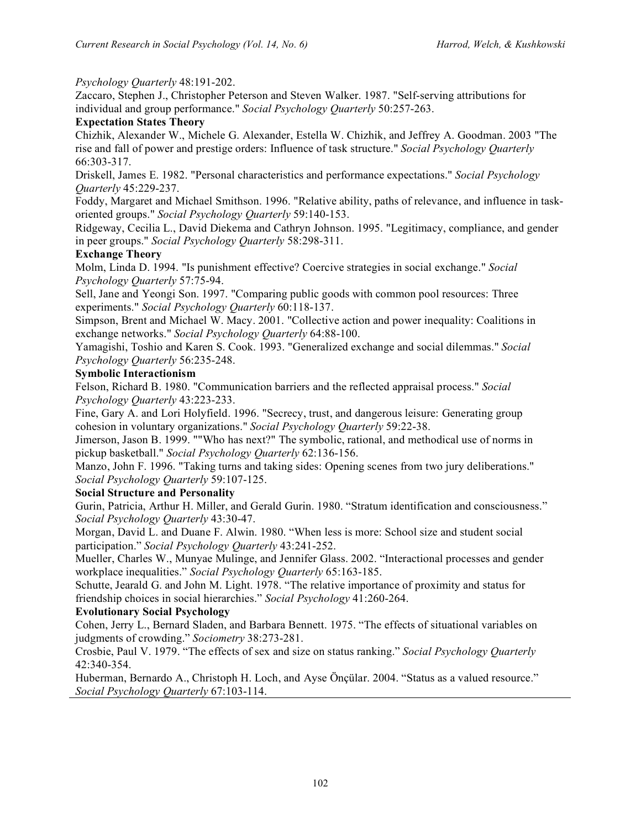#### *Psychology Quarterly* 48:191-202.

Zaccaro, Stephen J., Christopher Peterson and Steven Walker. 1987. "Self-serving attributions for individual and group performance." *Social Psychology Quarterly* 50:257-263.

#### **Expectation States Theory**

Chizhik, Alexander W., Michele G. Alexander, Estella W. Chizhik, and Jeffrey A. Goodman. 2003 "The rise and fall of power and prestige orders: Influence of task structure." *Social Psychology Quarterly*  66:303-317.

Driskell, James E. 1982. "Personal characteristics and performance expectations." *Social Psychology Quarterly* 45:229-237.

Foddy, Margaret and Michael Smithson. 1996. "Relative ability, paths of relevance, and influence in taskoriented groups." *Social Psychology Quarterly* 59:140-153.

Ridgeway, Cecilia L., David Diekema and Cathryn Johnson. 1995. "Legitimacy, compliance, and gender in peer groups." *Social Psychology Quarterly* 58:298-311.

#### **Exchange Theory**

Molm, Linda D. 1994. "Is punishment effective? Coercive strategies in social exchange." *Social Psychology Quarterly* 57:75-94.

Sell, Jane and Yeongi Son. 1997. "Comparing public goods with common pool resources: Three experiments." *Social Psychology Quarterly* 60:118-137.

Simpson, Brent and Michael W. Macy. 2001. "Collective action and power inequality: Coalitions in exchange networks." *Social Psychology Quarterly* 64:88-100.

Yamagishi, Toshio and Karen S. Cook. 1993. "Generalized exchange and social dilemmas." *Social Psychology Quarterly* 56:235-248.

#### **Symbolic Interactionism**

Felson, Richard B. 1980. "Communication barriers and the reflected appraisal process." *Social Psychology Quarterly* 43:223-233.

Fine, Gary A. and Lori Holyfield. 1996. "Secrecy, trust, and dangerous leisure: Generating group cohesion in voluntary organizations." *Social Psychology Quarterly* 59:22-38.

Jimerson, Jason B. 1999. ""Who has next?" The symbolic, rational, and methodical use of norms in pickup basketball." *Social Psychology Quarterly* 62:136-156.

Manzo, John F. 1996. "Taking turns and taking sides: Opening scenes from two jury deliberations." *Social Psychology Quarterly* 59:107-125.

#### **Social Structure and Personality**

Gurin, Patricia, Arthur H. Miller, and Gerald Gurin. 1980. "Stratum identification and consciousness." *Social Psychology Quarterly* 43:30-47.

Morgan, David L. and Duane F. Alwin. 1980. "When less is more: School size and student social participation." *Social Psychology Quarterly* 43:241-252.

Mueller, Charles W., Munyae Mulinge, and Jennifer Glass. 2002. "Interactional processes and gender workplace inequalities." *Social Psychology Quarterly* 65:163-185.

Schutte, Jearald G. and John M. Light. 1978. "The relative importance of proximity and status for friendship choices in social hierarchies." *Social Psychology* 41:260-264.

#### **Evolutionary Social Psychology**

Cohen, Jerry L., Bernard Sladen, and Barbara Bennett. 1975. "The effects of situational variables on judgments of crowding." *Sociometry* 38:273-281.

Crosbie, Paul V. 1979. "The effects of sex and size on status ranking." *Social Psychology Quarterly* 42:340-354.

Huberman, Bernardo A., Christoph H. Loch, and Ayse Önçülar. 2004. "Status as a valued resource." *Social Psychology Quarterly* 67:103-114.